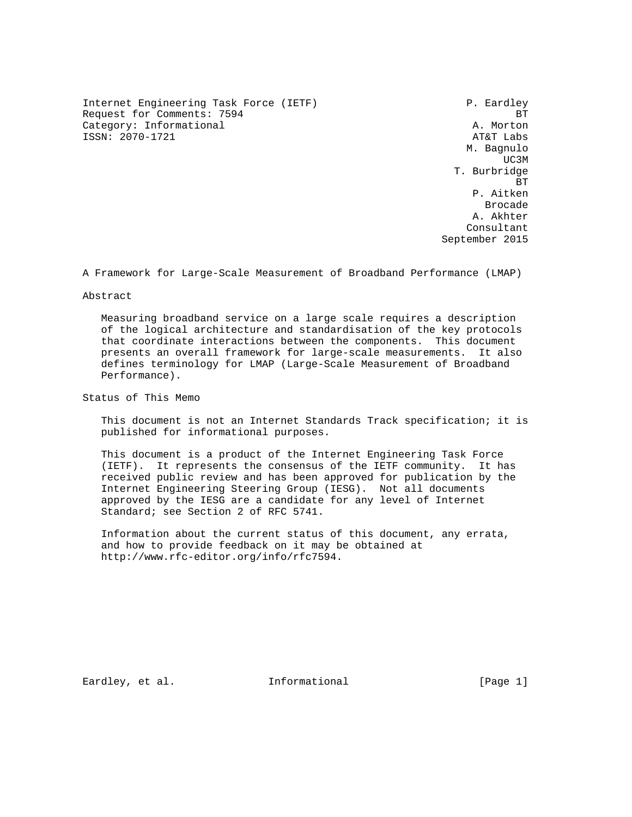Internet Engineering Task Force (IETF) F. Eardley Request for Comments: 7594 BT<br>Category: Informational and the category: Informational and the category: The category: Informational Category: Informational ISSN: 2070-1721 AT&T Labs

 M. Bagnulo UC3M and the contract of the contract of the contract of the contract of the contract of the contract of the contract of the contract of the contract of the contract of the contract of the contract of the contract of the c T. Burbridge **BT BT BT**  P. Aitken de de la construcción de la construcción de la construcción de la construcción de la construcción de la construcción de la construcción de la construcción de la construcción de la construcción de la construcción de la cons A. Akhter Consultant September 2015

A Framework for Large-Scale Measurement of Broadband Performance (LMAP)

### Abstract

 Measuring broadband service on a large scale requires a description of the logical architecture and standardisation of the key protocols that coordinate interactions between the components. This document presents an overall framework for large-scale measurements. It also defines terminology for LMAP (Large-Scale Measurement of Broadband Performance).

Status of This Memo

 This document is not an Internet Standards Track specification; it is published for informational purposes.

 This document is a product of the Internet Engineering Task Force (IETF). It represents the consensus of the IETF community. It has received public review and has been approved for publication by the Internet Engineering Steering Group (IESG). Not all documents approved by the IESG are a candidate for any level of Internet Standard; see Section 2 of RFC 5741.

 Information about the current status of this document, any errata, and how to provide feedback on it may be obtained at http://www.rfc-editor.org/info/rfc7594.

Eardley, et al. 100 Informational 100 [Page 1]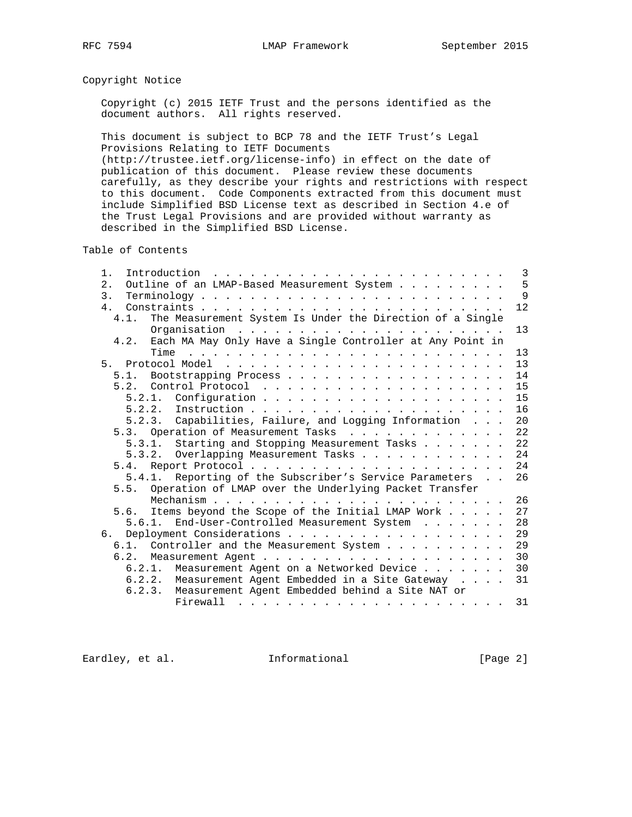# Copyright Notice

 Copyright (c) 2015 IETF Trust and the persons identified as the document authors. All rights reserved.

 This document is subject to BCP 78 and the IETF Trust's Legal Provisions Relating to IETF Documents

 (http://trustee.ietf.org/license-info) in effect on the date of publication of this document. Please review these documents carefully, as they describe your rights and restrictions with respect to this document. Code Components extracted from this document must include Simplified BSD License text as described in Section 4.e of the Trust Legal Provisions and are provided without warranty as described in the Simplified BSD License.

Table of Contents

| Introduction $\ldots \ldots \ldots \ldots \ldots \ldots \ldots \ldots$<br>1.                                                                                                                                                              | 3            |
|-------------------------------------------------------------------------------------------------------------------------------------------------------------------------------------------------------------------------------------------|--------------|
| Outline of an LMAP-Based Measurement System<br>2.                                                                                                                                                                                         | 5            |
| 3.                                                                                                                                                                                                                                        | $\mathsf{Q}$ |
| 4 <sub>1</sub>                                                                                                                                                                                                                            | 12           |
| The Measurement System Is Under the Direction of a Single<br>4.1.                                                                                                                                                                         |              |
|                                                                                                                                                                                                                                           | 13           |
| Each MA May Only Have a Single Controller at Any Point in<br>4.2.                                                                                                                                                                         |              |
| Time<br>the contract of the contract of the contract of the contract of the contract of the contract of the contract of                                                                                                                   | 13           |
|                                                                                                                                                                                                                                           | 13           |
| Bootstrapping Process<br>5.1.                                                                                                                                                                                                             | 14           |
|                                                                                                                                                                                                                                           | 15           |
| 5.2.1.                                                                                                                                                                                                                                    | 15           |
| 5.2.2.                                                                                                                                                                                                                                    | 16           |
| 5.2.3. Capabilities, Failure, and Logging Information                                                                                                                                                                                     | 20           |
| 5.3. Operation of Measurement Tasks                                                                                                                                                                                                       | 22           |
| 5.3.1. Starting and Stopping Measurement Tasks                                                                                                                                                                                            | 22           |
| 5.3.2. Overlapping Measurement Tasks                                                                                                                                                                                                      | 24           |
|                                                                                                                                                                                                                                           | 24           |
| 5.4.1. Reporting of the Subscriber's Service Parameters                                                                                                                                                                                   | 26           |
| Operation of LMAP over the Underlying Packet Transfer<br>5.5.                                                                                                                                                                             |              |
|                                                                                                                                                                                                                                           | 26           |
| Items beyond the Scope of the Initial LMAP Work<br>5.6.                                                                                                                                                                                   | 27           |
| 5.6.1. End-User-Controlled Measurement System                                                                                                                                                                                             | 28           |
| б.                                                                                                                                                                                                                                        | 29           |
| 6.1. Controller and the Measurement System                                                                                                                                                                                                | 29           |
|                                                                                                                                                                                                                                           | 30           |
| 6.2.1. Measurement Agent on a Networked Device                                                                                                                                                                                            | 30           |
| 6.2.2. Measurement Agent Embedded in a Site Gateway                                                                                                                                                                                       | 31           |
| Measurement Agent Embedded behind a Site NAT or<br>6.2.3.                                                                                                                                                                                 |              |
| Firewall<br>. The contract of the contract of the contract of the contract of the contract of the contract of the contract of the contract of the contract of the contract of the contract of the contract of the contract of the contrac | 31           |

Eardley, et al. 1nformational [Page 2]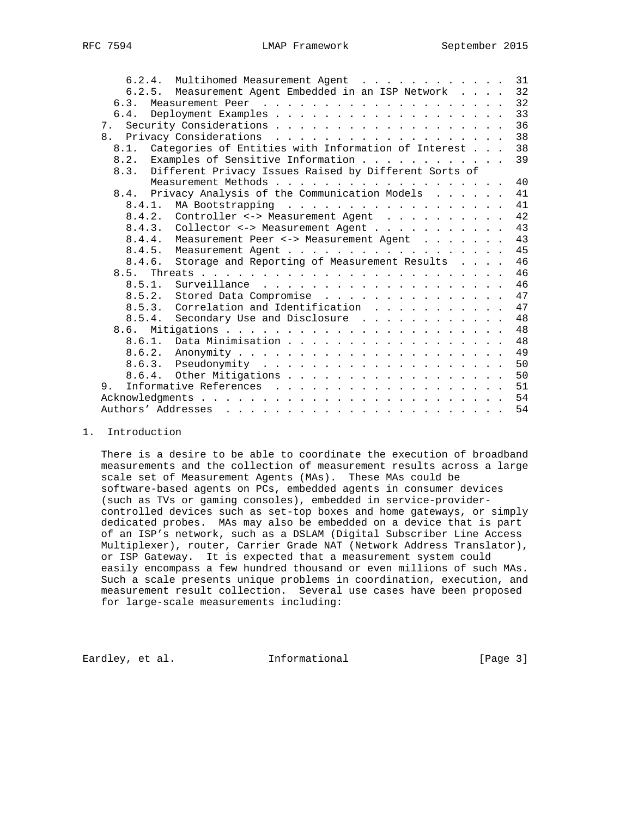| 6.2.5. Measurement Agent Embedded in an ISP Network<br>32<br>32<br>6.3.<br>33<br>6.4.<br>36<br>7.<br>38<br>Categories of Entities with Information of Interest<br>38<br>8.1.<br>39<br>Examples of Sensitive Information<br>8.2.<br>Different Privacy Issues Raised by Different Sorts of<br>8.3.<br>40<br>8.4. Privacy Analysis of the Communication Models<br>41<br>41<br>8.4.2. Controller <-> Measurement Agent<br>42<br>43<br>43<br>Measurement Peer <-> Measurement Agent<br>8.4.4.<br>45<br>46<br>8.4.6. Storage and Reporting of Measurement Results<br>46<br>8.5.<br>46<br>8.5.1.<br>47<br>8.5.2. Stored Data Compromise<br>8.5.3. Correlation and Identification 47<br>48<br>8.5.4. Secondary Use and Disclosure |
|---------------------------------------------------------------------------------------------------------------------------------------------------------------------------------------------------------------------------------------------------------------------------------------------------------------------------------------------------------------------------------------------------------------------------------------------------------------------------------------------------------------------------------------------------------------------------------------------------------------------------------------------------------------------------------------------------------------------------|
|                                                                                                                                                                                                                                                                                                                                                                                                                                                                                                                                                                                                                                                                                                                           |
|                                                                                                                                                                                                                                                                                                                                                                                                                                                                                                                                                                                                                                                                                                                           |
|                                                                                                                                                                                                                                                                                                                                                                                                                                                                                                                                                                                                                                                                                                                           |
|                                                                                                                                                                                                                                                                                                                                                                                                                                                                                                                                                                                                                                                                                                                           |
|                                                                                                                                                                                                                                                                                                                                                                                                                                                                                                                                                                                                                                                                                                                           |
|                                                                                                                                                                                                                                                                                                                                                                                                                                                                                                                                                                                                                                                                                                                           |
|                                                                                                                                                                                                                                                                                                                                                                                                                                                                                                                                                                                                                                                                                                                           |
|                                                                                                                                                                                                                                                                                                                                                                                                                                                                                                                                                                                                                                                                                                                           |
|                                                                                                                                                                                                                                                                                                                                                                                                                                                                                                                                                                                                                                                                                                                           |
|                                                                                                                                                                                                                                                                                                                                                                                                                                                                                                                                                                                                                                                                                                                           |
|                                                                                                                                                                                                                                                                                                                                                                                                                                                                                                                                                                                                                                                                                                                           |
|                                                                                                                                                                                                                                                                                                                                                                                                                                                                                                                                                                                                                                                                                                                           |
|                                                                                                                                                                                                                                                                                                                                                                                                                                                                                                                                                                                                                                                                                                                           |
|                                                                                                                                                                                                                                                                                                                                                                                                                                                                                                                                                                                                                                                                                                                           |
|                                                                                                                                                                                                                                                                                                                                                                                                                                                                                                                                                                                                                                                                                                                           |
|                                                                                                                                                                                                                                                                                                                                                                                                                                                                                                                                                                                                                                                                                                                           |
|                                                                                                                                                                                                                                                                                                                                                                                                                                                                                                                                                                                                                                                                                                                           |
|                                                                                                                                                                                                                                                                                                                                                                                                                                                                                                                                                                                                                                                                                                                           |
|                                                                                                                                                                                                                                                                                                                                                                                                                                                                                                                                                                                                                                                                                                                           |
|                                                                                                                                                                                                                                                                                                                                                                                                                                                                                                                                                                                                                                                                                                                           |
|                                                                                                                                                                                                                                                                                                                                                                                                                                                                                                                                                                                                                                                                                                                           |
|                                                                                                                                                                                                                                                                                                                                                                                                                                                                                                                                                                                                                                                                                                                           |
| Data Minimisation 48<br>8.6.1.                                                                                                                                                                                                                                                                                                                                                                                                                                                                                                                                                                                                                                                                                            |
|                                                                                                                                                                                                                                                                                                                                                                                                                                                                                                                                                                                                                                                                                                                           |
| 50                                                                                                                                                                                                                                                                                                                                                                                                                                                                                                                                                                                                                                                                                                                        |
| 50                                                                                                                                                                                                                                                                                                                                                                                                                                                                                                                                                                                                                                                                                                                        |
| Informative References 51<br>9.                                                                                                                                                                                                                                                                                                                                                                                                                                                                                                                                                                                                                                                                                           |
|                                                                                                                                                                                                                                                                                                                                                                                                                                                                                                                                                                                                                                                                                                                           |
| 54                                                                                                                                                                                                                                                                                                                                                                                                                                                                                                                                                                                                                                                                                                                        |

1. Introduction

 There is a desire to be able to coordinate the execution of broadband measurements and the collection of measurement results across a large scale set of Measurement Agents (MAs). These MAs could be software-based agents on PCs, embedded agents in consumer devices (such as TVs or gaming consoles), embedded in service-provider controlled devices such as set-top boxes and home gateways, or simply dedicated probes. MAs may also be embedded on a device that is part of an ISP's network, such as a DSLAM (Digital Subscriber Line Access Multiplexer), router, Carrier Grade NAT (Network Address Translator), or ISP Gateway. It is expected that a measurement system could easily encompass a few hundred thousand or even millions of such MAs. Such a scale presents unique problems in coordination, execution, and measurement result collection. Several use cases have been proposed for large-scale measurements including:

Eardley, et al. Informational [Page 3]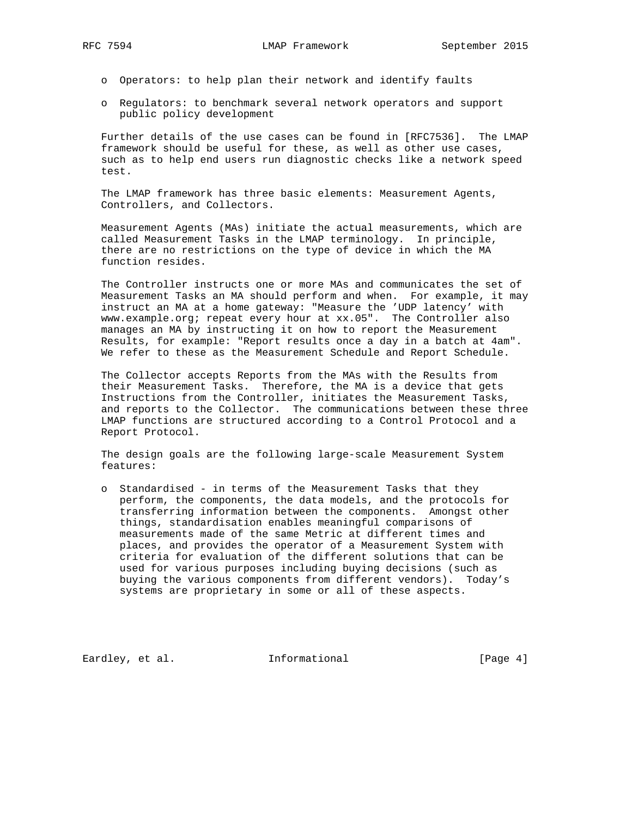- o Operators: to help plan their network and identify faults
- o Regulators: to benchmark several network operators and support public policy development

 Further details of the use cases can be found in [RFC7536]. The LMAP framework should be useful for these, as well as other use cases, such as to help end users run diagnostic checks like a network speed test.

 The LMAP framework has three basic elements: Measurement Agents, Controllers, and Collectors.

 Measurement Agents (MAs) initiate the actual measurements, which are called Measurement Tasks in the LMAP terminology. In principle, there are no restrictions on the type of device in which the MA function resides.

 The Controller instructs one or more MAs and communicates the set of Measurement Tasks an MA should perform and when. For example, it may instruct an MA at a home gateway: "Measure the 'UDP latency' with www.example.org; repeat every hour at xx.05". The Controller also manages an MA by instructing it on how to report the Measurement Results, for example: "Report results once a day in a batch at 4am". We refer to these as the Measurement Schedule and Report Schedule.

 The Collector accepts Reports from the MAs with the Results from their Measurement Tasks. Therefore, the MA is a device that gets Instructions from the Controller, initiates the Measurement Tasks, and reports to the Collector. The communications between these three LMAP functions are structured according to a Control Protocol and a Report Protocol.

 The design goals are the following large-scale Measurement System features:

 o Standardised - in terms of the Measurement Tasks that they perform, the components, the data models, and the protocols for transferring information between the components. Amongst other things, standardisation enables meaningful comparisons of measurements made of the same Metric at different times and places, and provides the operator of a Measurement System with criteria for evaluation of the different solutions that can be used for various purposes including buying decisions (such as buying the various components from different vendors). Today's systems are proprietary in some or all of these aspects.

Eardley, et al. 1nformational [Page 4]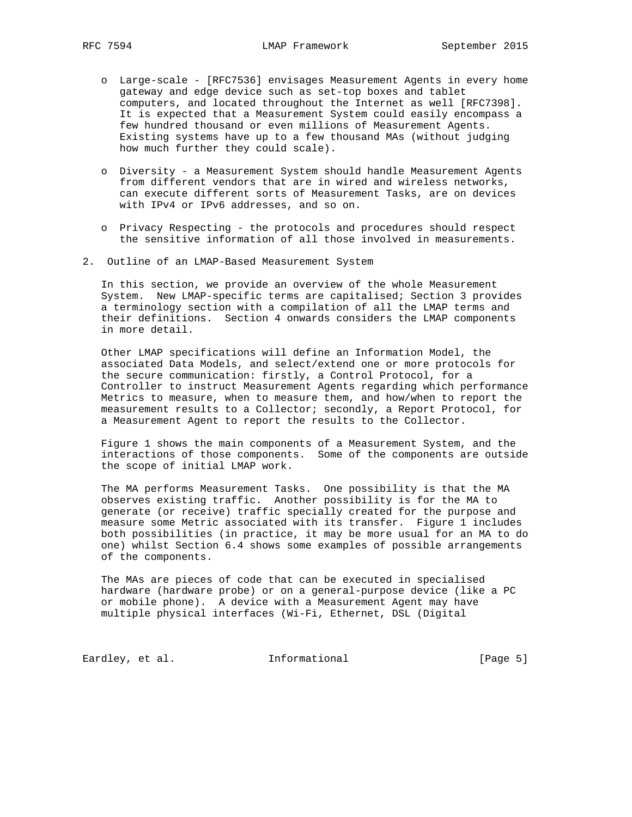- o Large-scale [RFC7536] envisages Measurement Agents in every home gateway and edge device such as set-top boxes and tablet computers, and located throughout the Internet as well [RFC7398]. It is expected that a Measurement System could easily encompass a few hundred thousand or even millions of Measurement Agents. Existing systems have up to a few thousand MAs (without judging how much further they could scale).
- o Diversity a Measurement System should handle Measurement Agents from different vendors that are in wired and wireless networks, can execute different sorts of Measurement Tasks, are on devices with IPv4 or IPv6 addresses, and so on.
- o Privacy Respecting the protocols and procedures should respect the sensitive information of all those involved in measurements.
- 2. Outline of an LMAP-Based Measurement System

 In this section, we provide an overview of the whole Measurement System. New LMAP-specific terms are capitalised; Section 3 provides a terminology section with a compilation of all the LMAP terms and their definitions. Section 4 onwards considers the LMAP components in more detail.

 Other LMAP specifications will define an Information Model, the associated Data Models, and select/extend one or more protocols for the secure communication: firstly, a Control Protocol, for a Controller to instruct Measurement Agents regarding which performance Metrics to measure, when to measure them, and how/when to report the measurement results to a Collector; secondly, a Report Protocol, for a Measurement Agent to report the results to the Collector.

 Figure 1 shows the main components of a Measurement System, and the interactions of those components. Some of the components are outside the scope of initial LMAP work.

 The MA performs Measurement Tasks. One possibility is that the MA observes existing traffic. Another possibility is for the MA to generate (or receive) traffic specially created for the purpose and measure some Metric associated with its transfer. Figure 1 includes both possibilities (in practice, it may be more usual for an MA to do one) whilst Section 6.4 shows some examples of possible arrangements of the components.

 The MAs are pieces of code that can be executed in specialised hardware (hardware probe) or on a general-purpose device (like a PC or mobile phone). A device with a Measurement Agent may have multiple physical interfaces (Wi-Fi, Ethernet, DSL (Digital

Eardley, et al. 1nformational 1999 [Page 5]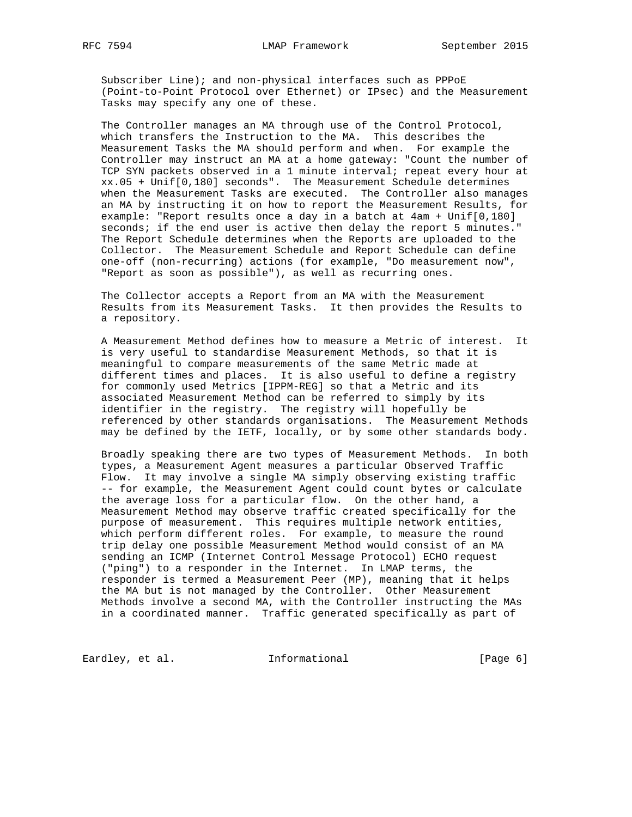Subscriber Line); and non-physical interfaces such as PPPoE (Point-to-Point Protocol over Ethernet) or IPsec) and the Measurement Tasks may specify any one of these.

 The Controller manages an MA through use of the Control Protocol, which transfers the Instruction to the MA. This describes the Measurement Tasks the MA should perform and when. For example the Controller may instruct an MA at a home gateway: "Count the number of TCP SYN packets observed in a 1 minute interval; repeat every hour at xx.05 + Unif[0,180] seconds". The Measurement Schedule determines when the Measurement Tasks are executed. The Controller also manages an MA by instructing it on how to report the Measurement Results, for example: "Report results once a day in a batch at 4am + Unif[0,180] seconds; if the end user is active then delay the report 5 minutes." The Report Schedule determines when the Reports are uploaded to the Collector. The Measurement Schedule and Report Schedule can define one-off (non-recurring) actions (for example, "Do measurement now", "Report as soon as possible"), as well as recurring ones.

 The Collector accepts a Report from an MA with the Measurement Results from its Measurement Tasks. It then provides the Results to a repository.

 A Measurement Method defines how to measure a Metric of interest. It is very useful to standardise Measurement Methods, so that it is meaningful to compare measurements of the same Metric made at different times and places. It is also useful to define a registry for commonly used Metrics [IPPM-REG] so that a Metric and its associated Measurement Method can be referred to simply by its identifier in the registry. The registry will hopefully be referenced by other standards organisations. The Measurement Methods may be defined by the IETF, locally, or by some other standards body.

 Broadly speaking there are two types of Measurement Methods. In both types, a Measurement Agent measures a particular Observed Traffic Flow. It may involve a single MA simply observing existing traffic -- for example, the Measurement Agent could count bytes or calculate the average loss for a particular flow. On the other hand, a Measurement Method may observe traffic created specifically for the purpose of measurement. This requires multiple network entities, which perform different roles. For example, to measure the round trip delay one possible Measurement Method would consist of an MA sending an ICMP (Internet Control Message Protocol) ECHO request ("ping") to a responder in the Internet. In LMAP terms, the responder is termed a Measurement Peer (MP), meaning that it helps the MA but is not managed by the Controller. Other Measurement Methods involve a second MA, with the Controller instructing the MAs in a coordinated manner. Traffic generated specifically as part of

Eardley, et al. 1nformational [Page 6]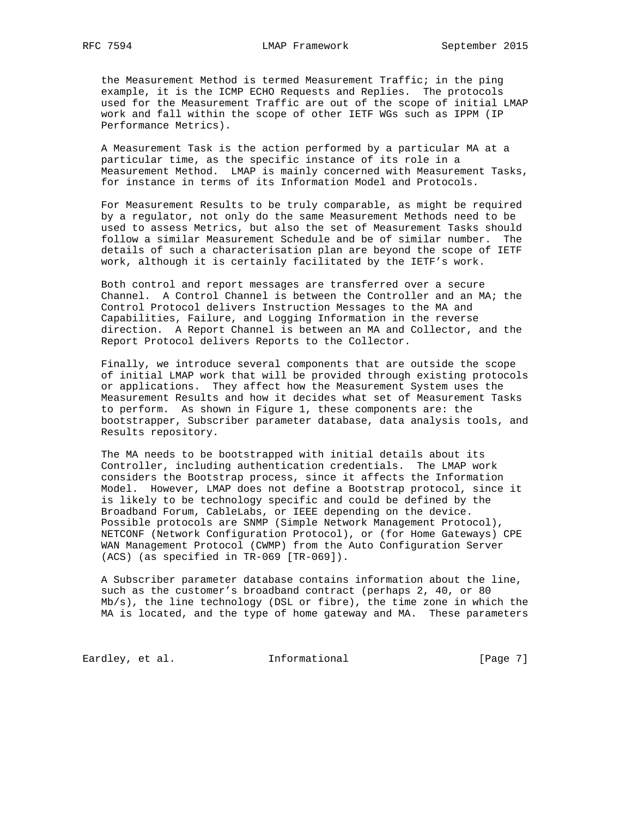the Measurement Method is termed Measurement Traffic; in the ping example, it is the ICMP ECHO Requests and Replies. The protocols used for the Measurement Traffic are out of the scope of initial LMAP work and fall within the scope of other IETF WGs such as IPPM (IP Performance Metrics).

 A Measurement Task is the action performed by a particular MA at a particular time, as the specific instance of its role in a Measurement Method. LMAP is mainly concerned with Measurement Tasks, for instance in terms of its Information Model and Protocols.

 For Measurement Results to be truly comparable, as might be required by a regulator, not only do the same Measurement Methods need to be used to assess Metrics, but also the set of Measurement Tasks should follow a similar Measurement Schedule and be of similar number. The details of such a characterisation plan are beyond the scope of IETF work, although it is certainly facilitated by the IETF's work.

 Both control and report messages are transferred over a secure Channel. A Control Channel is between the Controller and an MA; the Control Protocol delivers Instruction Messages to the MA and Capabilities, Failure, and Logging Information in the reverse direction. A Report Channel is between an MA and Collector, and the Report Protocol delivers Reports to the Collector.

 Finally, we introduce several components that are outside the scope of initial LMAP work that will be provided through existing protocols or applications. They affect how the Measurement System uses the Measurement Results and how it decides what set of Measurement Tasks to perform. As shown in Figure 1, these components are: the bootstrapper, Subscriber parameter database, data analysis tools, and Results repository.

 The MA needs to be bootstrapped with initial details about its Controller, including authentication credentials. The LMAP work considers the Bootstrap process, since it affects the Information Model. However, LMAP does not define a Bootstrap protocol, since it is likely to be technology specific and could be defined by the Broadband Forum, CableLabs, or IEEE depending on the device. Possible protocols are SNMP (Simple Network Management Protocol), NETCONF (Network Configuration Protocol), or (for Home Gateways) CPE WAN Management Protocol (CWMP) from the Auto Configuration Server (ACS) (as specified in TR-069 [TR-069]).

 A Subscriber parameter database contains information about the line, such as the customer's broadband contract (perhaps 2, 40, or 80 Mb/s), the line technology (DSL or fibre), the time zone in which the MA is located, and the type of home gateway and MA. These parameters

Eardley, et al. 1nformational 1999 [Page 7]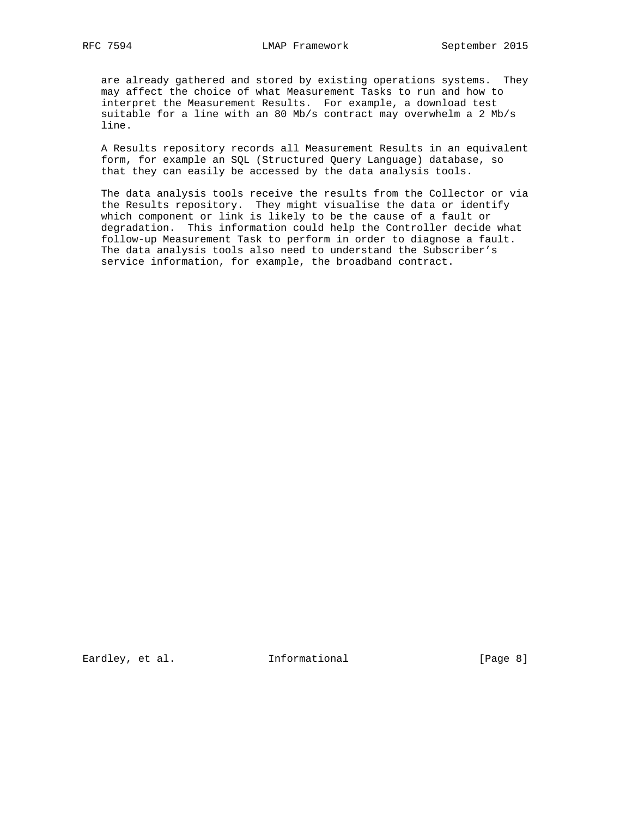are already gathered and stored by existing operations systems. They may affect the choice of what Measurement Tasks to run and how to interpret the Measurement Results. For example, a download test suitable for a line with an 80 Mb/s contract may overwhelm a 2 Mb/s line.

 A Results repository records all Measurement Results in an equivalent form, for example an SQL (Structured Query Language) database, so that they can easily be accessed by the data analysis tools.

 The data analysis tools receive the results from the Collector or via the Results repository. They might visualise the data or identify which component or link is likely to be the cause of a fault or degradation. This information could help the Controller decide what follow-up Measurement Task to perform in order to diagnose a fault. The data analysis tools also need to understand the Subscriber's service information, for example, the broadband contract.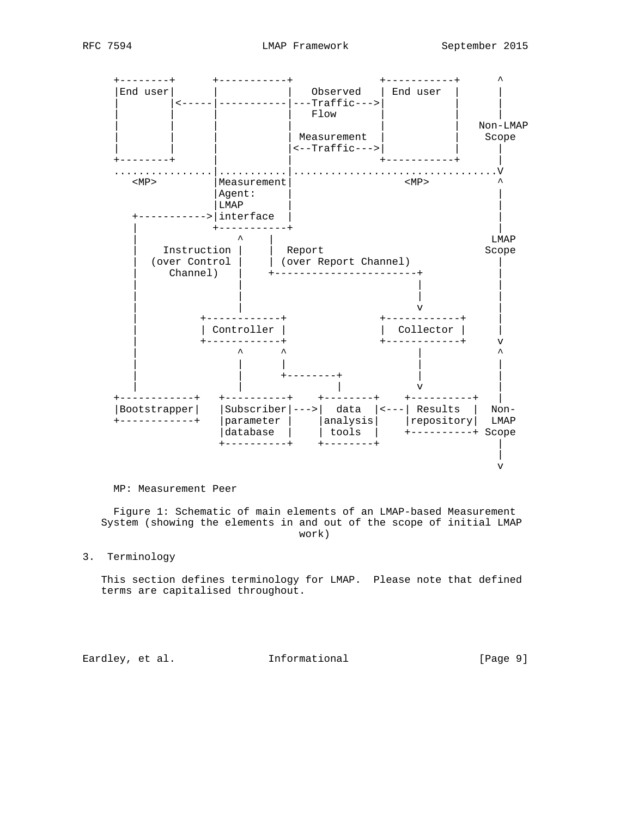

### MP: Measurement Peer

 Figure 1: Schematic of main elements of an LMAP-based Measurement System (showing the elements in and out of the scope of initial LMAP work)

3. Terminology

 This section defines terminology for LMAP. Please note that defined terms are capitalised throughout.

Eardley, et al. 1nformational 1999 [Page 9]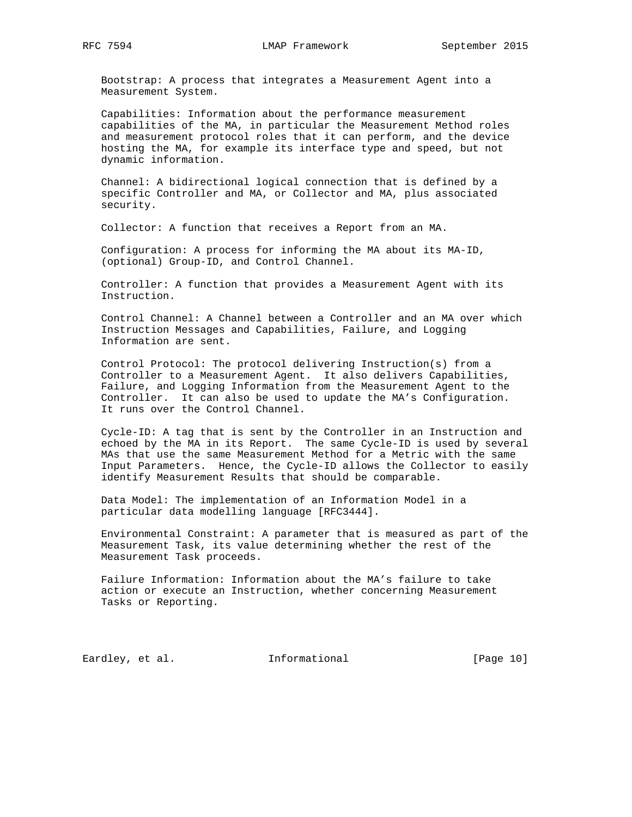Bootstrap: A process that integrates a Measurement Agent into a Measurement System.

 Capabilities: Information about the performance measurement capabilities of the MA, in particular the Measurement Method roles and measurement protocol roles that it can perform, and the device hosting the MA, for example its interface type and speed, but not dynamic information.

 Channel: A bidirectional logical connection that is defined by a specific Controller and MA, or Collector and MA, plus associated security.

Collector: A function that receives a Report from an MA.

 Configuration: A process for informing the MA about its MA-ID, (optional) Group-ID, and Control Channel.

 Controller: A function that provides a Measurement Agent with its Instruction.

 Control Channel: A Channel between a Controller and an MA over which Instruction Messages and Capabilities, Failure, and Logging Information are sent.

 Control Protocol: The protocol delivering Instruction(s) from a Controller to a Measurement Agent. It also delivers Capabilities, Failure, and Logging Information from the Measurement Agent to the Controller. It can also be used to update the MA's Configuration. It runs over the Control Channel.

 Cycle-ID: A tag that is sent by the Controller in an Instruction and echoed by the MA in its Report. The same Cycle-ID is used by several MAs that use the same Measurement Method for a Metric with the same Input Parameters. Hence, the Cycle-ID allows the Collector to easily identify Measurement Results that should be comparable.

 Data Model: The implementation of an Information Model in a particular data modelling language [RFC3444].

 Environmental Constraint: A parameter that is measured as part of the Measurement Task, its value determining whether the rest of the Measurement Task proceeds.

 Failure Information: Information about the MA's failure to take action or execute an Instruction, whether concerning Measurement Tasks or Reporting.

Eardley, et al. 1nformational [Page 10]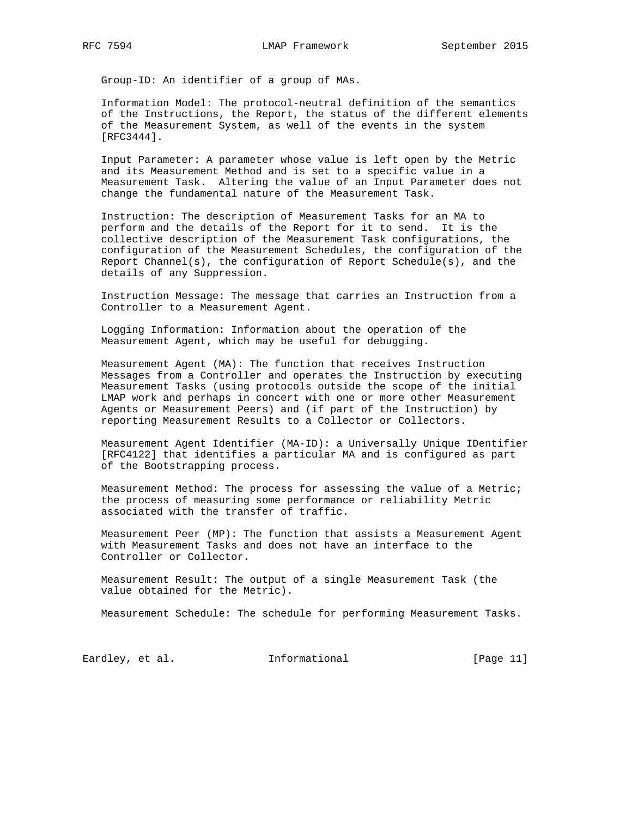Group-ID: An identifier of a group of MAs.

 Information Model: The protocol-neutral definition of the semantics of the Instructions, the Report, the status of the different elements of the Measurement System, as well of the events in the system [RFC3444].

 Input Parameter: A parameter whose value is left open by the Metric and its Measurement Method and is set to a specific value in a Measurement Task. Altering the value of an Input Parameter does not change the fundamental nature of the Measurement Task.

 Instruction: The description of Measurement Tasks for an MA to perform and the details of the Report for it to send. It is the collective description of the Measurement Task configurations, the configuration of the Measurement Schedules, the configuration of the Report Channel(s), the configuration of Report Schedule(s), and the details of any Suppression.

 Instruction Message: The message that carries an Instruction from a Controller to a Measurement Agent.

 Logging Information: Information about the operation of the Measurement Agent, which may be useful for debugging.

 Measurement Agent (MA): The function that receives Instruction Messages from a Controller and operates the Instruction by executing Measurement Tasks (using protocols outside the scope of the initial LMAP work and perhaps in concert with one or more other Measurement Agents or Measurement Peers) and (if part of the Instruction) by reporting Measurement Results to a Collector or Collectors.

 Measurement Agent Identifier (MA-ID): a Universally Unique IDentifier [RFC4122] that identifies a particular MA and is configured as part of the Bootstrapping process.

 Measurement Method: The process for assessing the value of a Metric; the process of measuring some performance or reliability Metric associated with the transfer of traffic.

 Measurement Peer (MP): The function that assists a Measurement Agent with Measurement Tasks and does not have an interface to the Controller or Collector.

 Measurement Result: The output of a single Measurement Task (the value obtained for the Metric).

Measurement Schedule: The schedule for performing Measurement Tasks.

Eardley, et al. 1nformational [Page 11]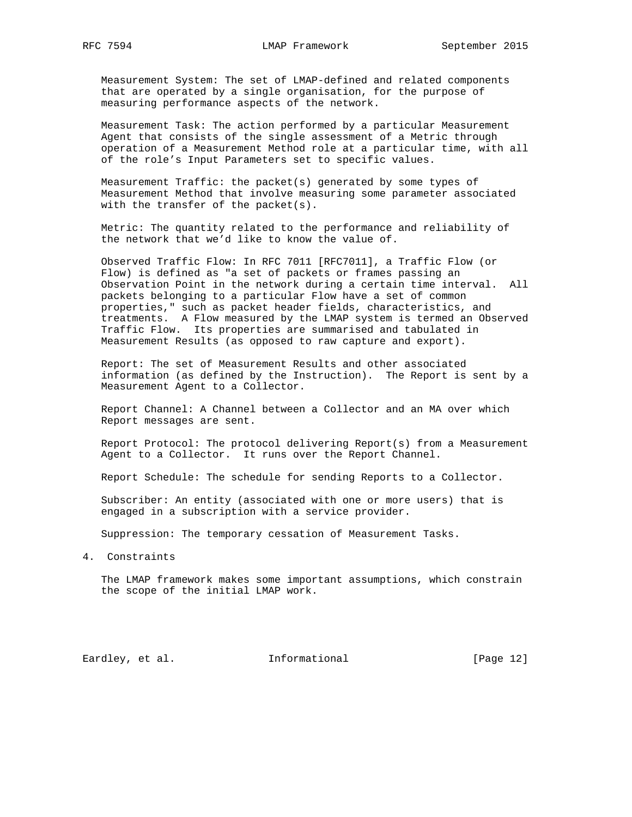Measurement System: The set of LMAP-defined and related components that are operated by a single organisation, for the purpose of measuring performance aspects of the network.

 Measurement Task: The action performed by a particular Measurement Agent that consists of the single assessment of a Metric through operation of a Measurement Method role at a particular time, with all of the role's Input Parameters set to specific values.

 Measurement Traffic: the packet(s) generated by some types of Measurement Method that involve measuring some parameter associated with the transfer of the packet(s).

 Metric: The quantity related to the performance and reliability of the network that we'd like to know the value of.

 Observed Traffic Flow: In RFC 7011 [RFC7011], a Traffic Flow (or Flow) is defined as "a set of packets or frames passing an Observation Point in the network during a certain time interval. All packets belonging to a particular Flow have a set of common properties," such as packet header fields, characteristics, and treatments. A Flow measured by the LMAP system is termed an Observed Traffic Flow. Its properties are summarised and tabulated in Measurement Results (as opposed to raw capture and export).

 Report: The set of Measurement Results and other associated information (as defined by the Instruction). The Report is sent by a Measurement Agent to a Collector.

 Report Channel: A Channel between a Collector and an MA over which Report messages are sent.

 Report Protocol: The protocol delivering Report(s) from a Measurement Agent to a Collector. It runs over the Report Channel.

Report Schedule: The schedule for sending Reports to a Collector.

 Subscriber: An entity (associated with one or more users) that is engaged in a subscription with a service provider.

Suppression: The temporary cessation of Measurement Tasks.

4. Constraints

 The LMAP framework makes some important assumptions, which constrain the scope of the initial LMAP work.

Eardley, et al. 1nformational [Page 12]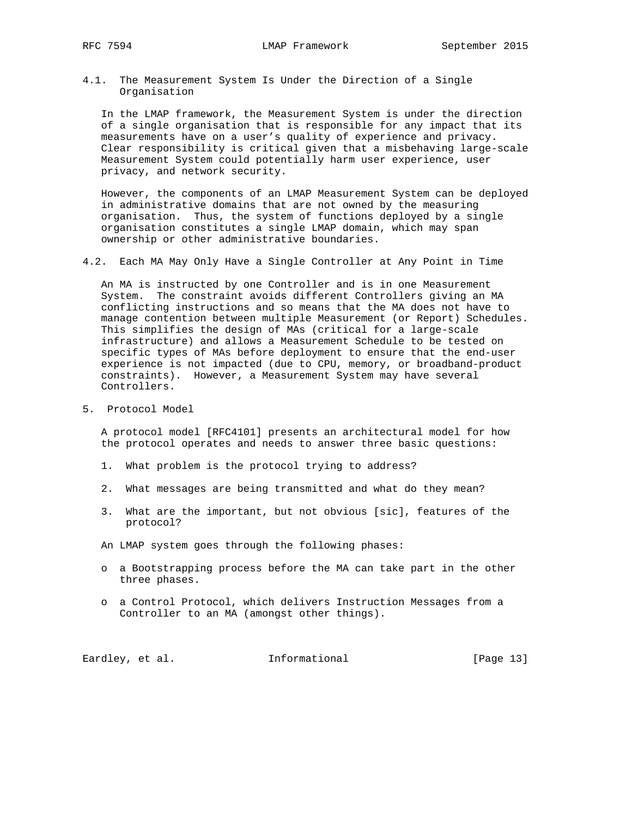4.1. The Measurement System Is Under the Direction of a Single Organisation

 In the LMAP framework, the Measurement System is under the direction of a single organisation that is responsible for any impact that its measurements have on a user's quality of experience and privacy. Clear responsibility is critical given that a misbehaving large-scale Measurement System could potentially harm user experience, user privacy, and network security.

 However, the components of an LMAP Measurement System can be deployed in administrative domains that are not owned by the measuring organisation. Thus, the system of functions deployed by a single organisation constitutes a single LMAP domain, which may span ownership or other administrative boundaries.

4.2. Each MA May Only Have a Single Controller at Any Point in Time

 An MA is instructed by one Controller and is in one Measurement System. The constraint avoids different Controllers giving an MA conflicting instructions and so means that the MA does not have to manage contention between multiple Measurement (or Report) Schedules. This simplifies the design of MAs (critical for a large-scale infrastructure) and allows a Measurement Schedule to be tested on specific types of MAs before deployment to ensure that the end-user experience is not impacted (due to CPU, memory, or broadband-product constraints). However, a Measurement System may have several Controllers.

5. Protocol Model

 A protocol model [RFC4101] presents an architectural model for how the protocol operates and needs to answer three basic questions:

- 1. What problem is the protocol trying to address?
- 2. What messages are being transmitted and what do they mean?
- 3. What are the important, but not obvious [sic], features of the protocol?

An LMAP system goes through the following phases:

- o a Bootstrapping process before the MA can take part in the other three phases.
- o a Control Protocol, which delivers Instruction Messages from a Controller to an MA (amongst other things).

Eardley, et al. 1nformational [Page 13]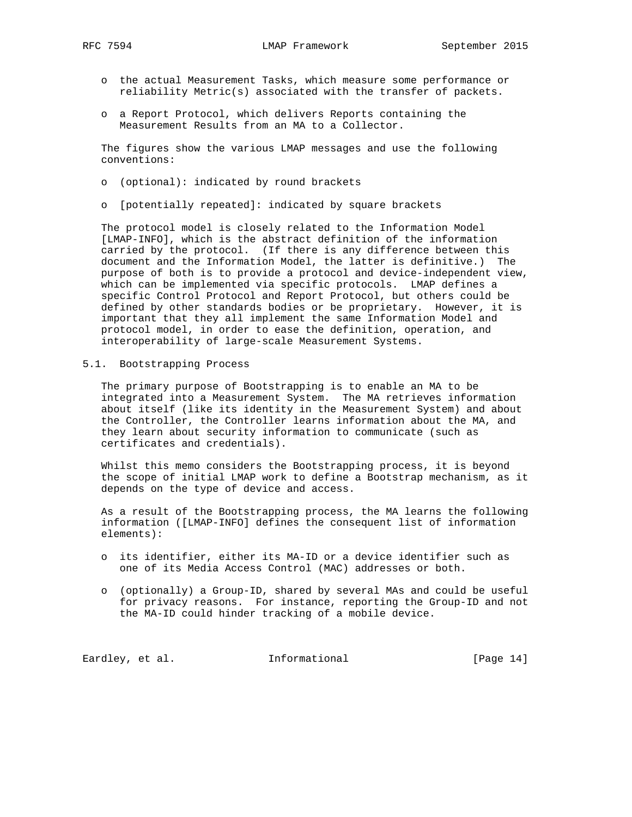- o the actual Measurement Tasks, which measure some performance or reliability Metric(s) associated with the transfer of packets.
- o a Report Protocol, which delivers Reports containing the Measurement Results from an MA to a Collector.

 The figures show the various LMAP messages and use the following conventions:

- o (optional): indicated by round brackets
- o [potentially repeated]: indicated by square brackets

 The protocol model is closely related to the Information Model [LMAP-INFO], which is the abstract definition of the information carried by the protocol. (If there is any difference between this document and the Information Model, the latter is definitive.) The purpose of both is to provide a protocol and device-independent view, which can be implemented via specific protocols. LMAP defines a specific Control Protocol and Report Protocol, but others could be defined by other standards bodies or be proprietary. However, it is important that they all implement the same Information Model and protocol model, in order to ease the definition, operation, and interoperability of large-scale Measurement Systems.

5.1. Bootstrapping Process

 The primary purpose of Bootstrapping is to enable an MA to be integrated into a Measurement System. The MA retrieves information about itself (like its identity in the Measurement System) and about the Controller, the Controller learns information about the MA, and they learn about security information to communicate (such as certificates and credentials).

 Whilst this memo considers the Bootstrapping process, it is beyond the scope of initial LMAP work to define a Bootstrap mechanism, as it depends on the type of device and access.

 As a result of the Bootstrapping process, the MA learns the following information ([LMAP-INFO] defines the consequent list of information elements):

- o its identifier, either its MA-ID or a device identifier such as one of its Media Access Control (MAC) addresses or both.
- o (optionally) a Group-ID, shared by several MAs and could be useful for privacy reasons. For instance, reporting the Group-ID and not the MA-ID could hinder tracking of a mobile device.

Eardley, et al. 1nformational [Page 14]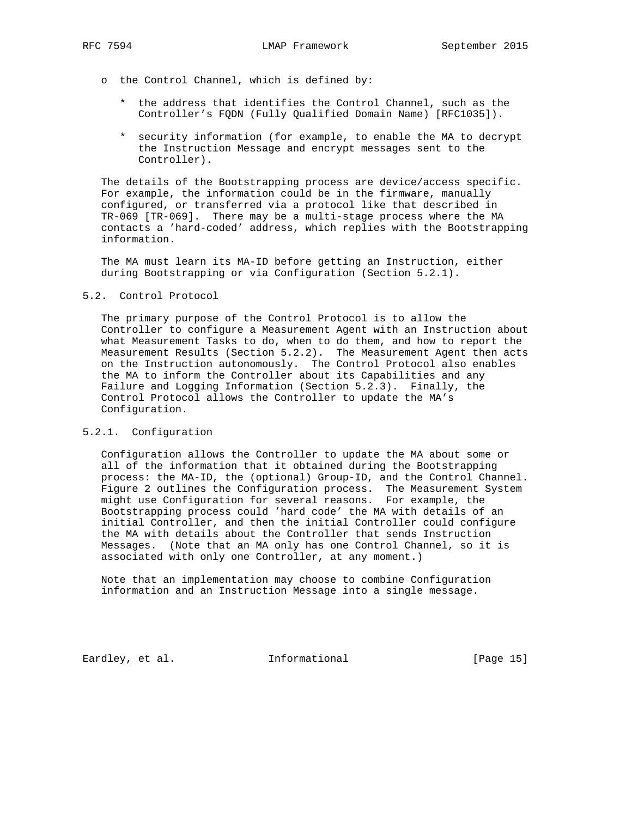- o the Control Channel, which is defined by:
	- \* the address that identifies the Control Channel, such as the Controller's FQDN (Fully Qualified Domain Name) [RFC1035]).
	- \* security information (for example, to enable the MA to decrypt the Instruction Message and encrypt messages sent to the Controller).

 The details of the Bootstrapping process are device/access specific. For example, the information could be in the firmware, manually configured, or transferred via a protocol like that described in TR-069 [TR-069]. There may be a multi-stage process where the MA contacts a 'hard-coded' address, which replies with the Bootstrapping information.

 The MA must learn its MA-ID before getting an Instruction, either during Bootstrapping or via Configuration (Section 5.2.1).

### 5.2. Control Protocol

 The primary purpose of the Control Protocol is to allow the Controller to configure a Measurement Agent with an Instruction about what Measurement Tasks to do, when to do them, and how to report the Measurement Results (Section 5.2.2). The Measurement Agent then acts on the Instruction autonomously. The Control Protocol also enables the MA to inform the Controller about its Capabilities and any Failure and Logging Information (Section 5.2.3). Finally, the Control Protocol allows the Controller to update the MA's Configuration.

### 5.2.1. Configuration

 Configuration allows the Controller to update the MA about some or all of the information that it obtained during the Bootstrapping process: the MA-ID, the (optional) Group-ID, and the Control Channel. Figure 2 outlines the Configuration process. The Measurement System might use Configuration for several reasons. For example, the Bootstrapping process could 'hard code' the MA with details of an initial Controller, and then the initial Controller could configure the MA with details about the Controller that sends Instruction Messages. (Note that an MA only has one Control Channel, so it is associated with only one Controller, at any moment.)

 Note that an implementation may choose to combine Configuration information and an Instruction Message into a single message.

Eardley, et al. Informational [Page 15]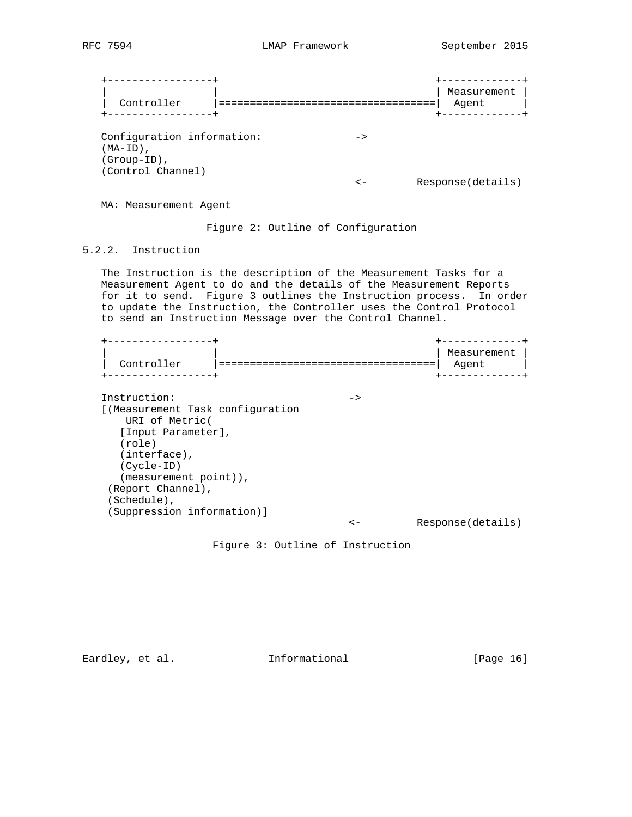| Controller                                                                                                                              |                            | Measurement<br>Agent |
|-----------------------------------------------------------------------------------------------------------------------------------------|----------------------------|----------------------|
| Configuration information:<br>(MA-ID),<br>$(Group-ID)$ ,<br>(Control Channel)                                                           | $\rightarrow$<br>$\lt$ $-$ | Response(details)    |
| MA: Measurement Agent                                                                                                                   |                            |                      |
| Figure 2: Outline of Configuration                                                                                                      |                            |                      |
| 5.2.2. Instruction                                                                                                                      |                            |                      |
| The Instruction is the description of the Measurement Tasks for a<br>Measurement Agent to do and the details of the Measurement Reports |                            |                      |

 for it to send. Figure 3 outlines the Instruction process. In order to update the Instruction, the Controller uses the Control Protocol to send an Instruction Message over the Control Channel.

 +-----------------+ +-------------+ | Measurement | | Controller |===================================| Agent | +-----------------+ +-------------+ Instruction:  $\qquad \qquad \rightarrow$  [(Measurement Task configuration URI of Metric( [Input Parameter], (role) (interface), (Cycle-ID) (measurement point)), (Report Channel), (Schedule), (Suppression information)] <- Response(details)

Figure 3: Outline of Instruction

Eardley, et al. 1nformational [Page 16]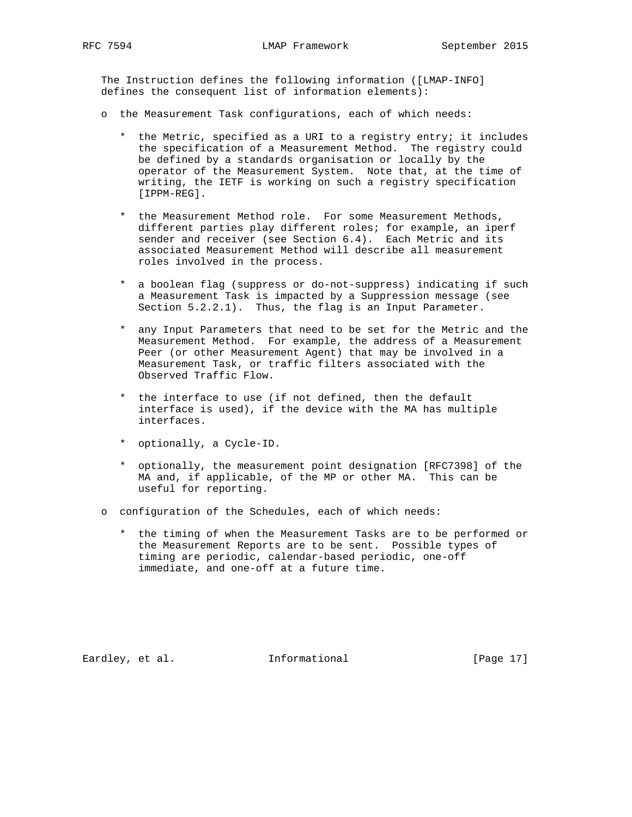The Instruction defines the following information ([LMAP-INFO] defines the consequent list of information elements):

- o the Measurement Task configurations, each of which needs:
	- \* the Metric, specified as a URI to a registry entry; it includes the specification of a Measurement Method. The registry could be defined by a standards organisation or locally by the operator of the Measurement System. Note that, at the time of writing, the IETF is working on such a registry specification [IPPM-REG].
	- \* the Measurement Method role. For some Measurement Methods, different parties play different roles; for example, an iperf sender and receiver (see Section 6.4). Each Metric and its associated Measurement Method will describe all measurement roles involved in the process.
	- \* a boolean flag (suppress or do-not-suppress) indicating if such a Measurement Task is impacted by a Suppression message (see Section 5.2.2.1). Thus, the flag is an Input Parameter.
	- \* any Input Parameters that need to be set for the Metric and the Measurement Method. For example, the address of a Measurement Peer (or other Measurement Agent) that may be involved in a Measurement Task, or traffic filters associated with the Observed Traffic Flow.
	- \* the interface to use (if not defined, then the default interface is used), if the device with the MA has multiple interfaces.
	- \* optionally, a Cycle-ID.
	- \* optionally, the measurement point designation [RFC7398] of the MA and, if applicable, of the MP or other MA. This can be useful for reporting.
- o configuration of the Schedules, each of which needs:
	- \* the timing of when the Measurement Tasks are to be performed or the Measurement Reports are to be sent. Possible types of timing are periodic, calendar-based periodic, one-off immediate, and one-off at a future time.

Eardley, et al. 1nformational [Page 17]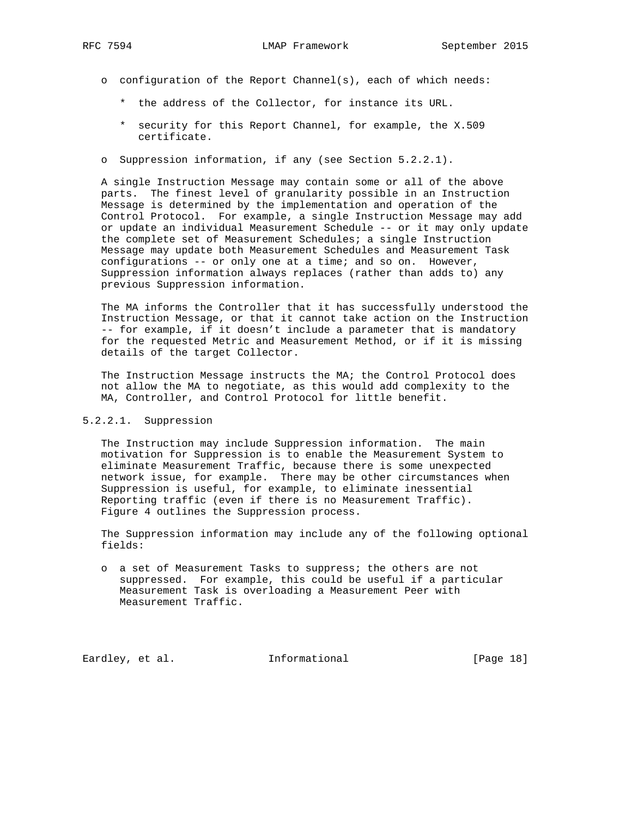- o configuration of the Report Channel(s), each of which needs:
	- \* the address of the Collector, for instance its URL.
	- \* security for this Report Channel, for example, the X.509 certificate.
- o Suppression information, if any (see Section 5.2.2.1).

 A single Instruction Message may contain some or all of the above parts. The finest level of granularity possible in an Instruction Message is determined by the implementation and operation of the Control Protocol. For example, a single Instruction Message may add or update an individual Measurement Schedule -- or it may only update the complete set of Measurement Schedules; a single Instruction Message may update both Measurement Schedules and Measurement Task configurations -- or only one at a time; and so on. However, Suppression information always replaces (rather than adds to) any previous Suppression information.

 The MA informs the Controller that it has successfully understood the Instruction Message, or that it cannot take action on the Instruction -- for example, if it doesn't include a parameter that is mandatory for the requested Metric and Measurement Method, or if it is missing details of the target Collector.

 The Instruction Message instructs the MA; the Control Protocol does not allow the MA to negotiate, as this would add complexity to the MA, Controller, and Control Protocol for little benefit.

## 5.2.2.1. Suppression

 The Instruction may include Suppression information. The main motivation for Suppression is to enable the Measurement System to eliminate Measurement Traffic, because there is some unexpected network issue, for example. There may be other circumstances when Suppression is useful, for example, to eliminate inessential Reporting traffic (even if there is no Measurement Traffic). Figure 4 outlines the Suppression process.

 The Suppression information may include any of the following optional fields:

 o a set of Measurement Tasks to suppress; the others are not suppressed. For example, this could be useful if a particular Measurement Task is overloading a Measurement Peer with Measurement Traffic.

Eardley, et al. 1nformational [Page 18]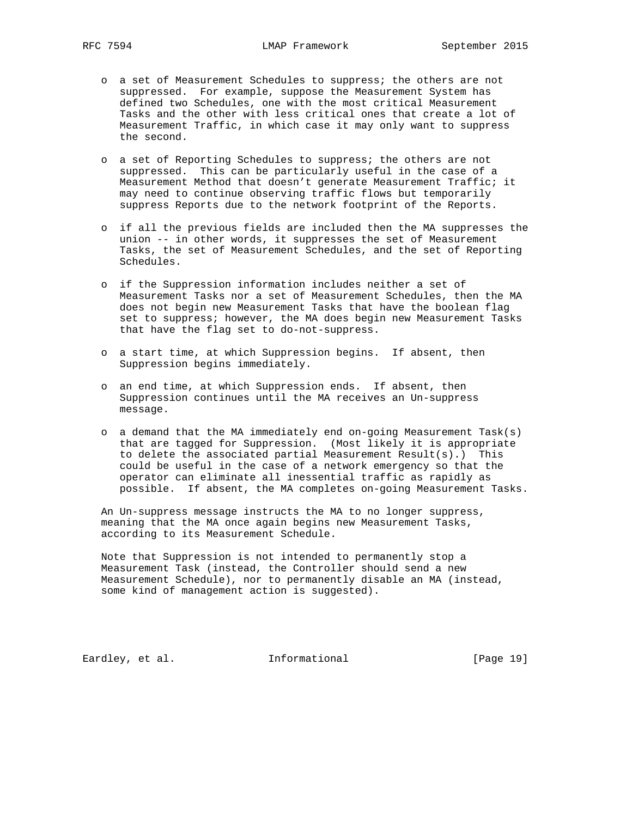- o a set of Measurement Schedules to suppress; the others are not suppressed. For example, suppose the Measurement System has defined two Schedules, one with the most critical Measurement Tasks and the other with less critical ones that create a lot of Measurement Traffic, in which case it may only want to suppress the second.
- o a set of Reporting Schedules to suppress; the others are not suppressed. This can be particularly useful in the case of a Measurement Method that doesn't generate Measurement Traffic; it may need to continue observing traffic flows but temporarily suppress Reports due to the network footprint of the Reports.
- o if all the previous fields are included then the MA suppresses the union -- in other words, it suppresses the set of Measurement Tasks, the set of Measurement Schedules, and the set of Reporting Schedules.
- o if the Suppression information includes neither a set of Measurement Tasks nor a set of Measurement Schedules, then the MA does not begin new Measurement Tasks that have the boolean flag set to suppress; however, the MA does begin new Measurement Tasks that have the flag set to do-not-suppress.
- o a start time, at which Suppression begins. If absent, then Suppression begins immediately.
- o an end time, at which Suppression ends. If absent, then Suppression continues until the MA receives an Un-suppress message.
- o a demand that the MA immediately end on-going Measurement Task(s) that are tagged for Suppression. (Most likely it is appropriate to delete the associated partial Measurement Result(s).) This could be useful in the case of a network emergency so that the operator can eliminate all inessential traffic as rapidly as possible. If absent, the MA completes on-going Measurement Tasks.

 An Un-suppress message instructs the MA to no longer suppress, meaning that the MA once again begins new Measurement Tasks, according to its Measurement Schedule.

 Note that Suppression is not intended to permanently stop a Measurement Task (instead, the Controller should send a new Measurement Schedule), nor to permanently disable an MA (instead, some kind of management action is suggested).

Eardley, et al. 1nformational [Page 19]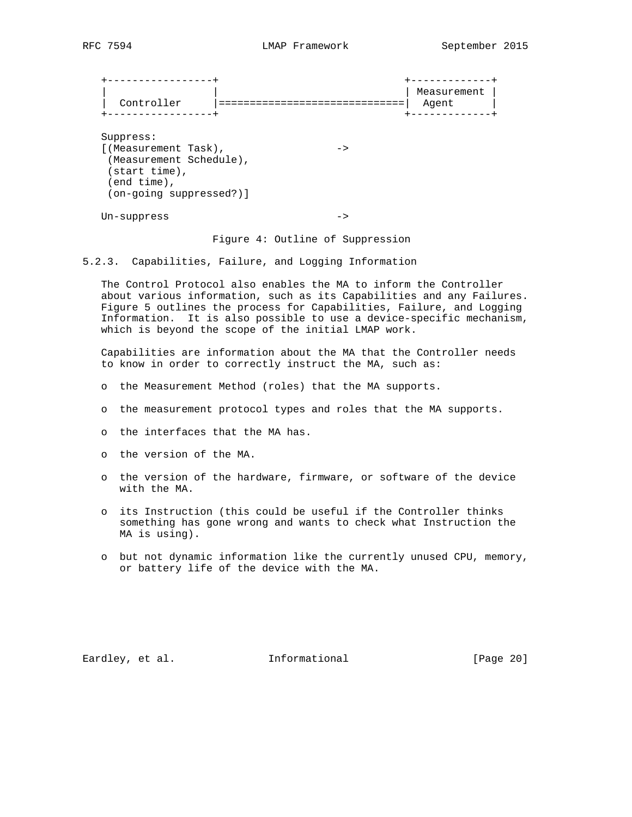| Controller<br>------------                                                                                                       | Measurement<br>Agent<br>--------- |
|----------------------------------------------------------------------------------------------------------------------------------|-----------------------------------|
| Suppress:<br>[(Measurement Task),<br>-><br>(Measurement Schedule),<br>(start time),<br>$(end time)$ ,<br>(on-going suppressed?)] |                                   |
| $Un-suppress$                                                                                                                    |                                   |

Figure 4: Outline of Suppression

5.2.3. Capabilities, Failure, and Logging Information

 The Control Protocol also enables the MA to inform the Controller about various information, such as its Capabilities and any Failures. Figure 5 outlines the process for Capabilities, Failure, and Logging Information. It is also possible to use a device-specific mechanism, which is beyond the scope of the initial LMAP work.

 Capabilities are information about the MA that the Controller needs to know in order to correctly instruct the MA, such as:

- o the Measurement Method (roles) that the MA supports.
- o the measurement protocol types and roles that the MA supports.
- o the interfaces that the MA has.
- o the version of the MA.
- o the version of the hardware, firmware, or software of the device with the MA.
- o its Instruction (this could be useful if the Controller thinks something has gone wrong and wants to check what Instruction the MA is using).
- o but not dynamic information like the currently unused CPU, memory, or battery life of the device with the MA.

Eardley, et al. 1nformational [Page 20]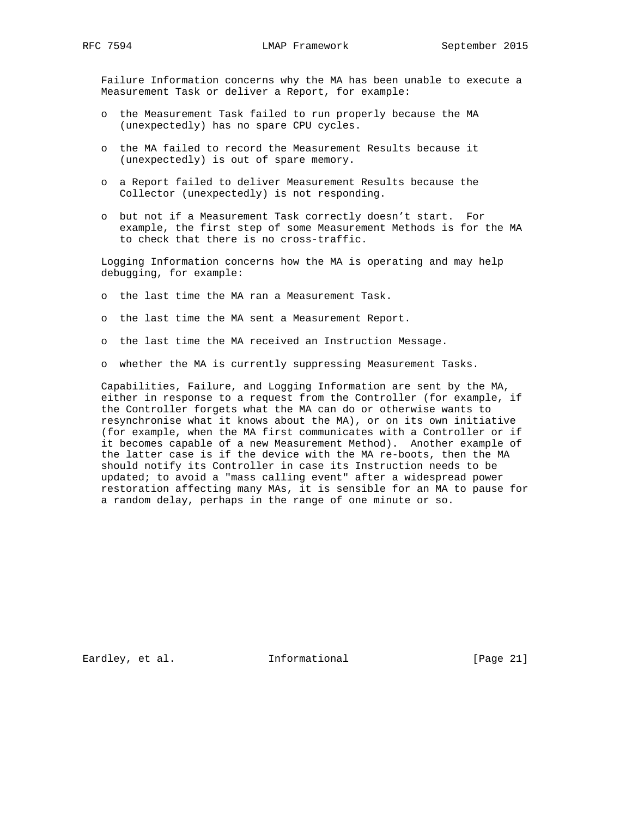Failure Information concerns why the MA has been unable to execute a Measurement Task or deliver a Report, for example:

- o the Measurement Task failed to run properly because the MA (unexpectedly) has no spare CPU cycles.
- o the MA failed to record the Measurement Results because it (unexpectedly) is out of spare memory.
- o a Report failed to deliver Measurement Results because the Collector (unexpectedly) is not responding.
- o but not if a Measurement Task correctly doesn't start. For example, the first step of some Measurement Methods is for the MA to check that there is no cross-traffic.

 Logging Information concerns how the MA is operating and may help debugging, for example:

- o the last time the MA ran a Measurement Task.
- o the last time the MA sent a Measurement Report.
- o the last time the MA received an Instruction Message.
- o whether the MA is currently suppressing Measurement Tasks.

 Capabilities, Failure, and Logging Information are sent by the MA, either in response to a request from the Controller (for example, if the Controller forgets what the MA can do or otherwise wants to resynchronise what it knows about the MA), or on its own initiative (for example, when the MA first communicates with a Controller or if it becomes capable of a new Measurement Method). Another example of the latter case is if the device with the MA re-boots, then the MA should notify its Controller in case its Instruction needs to be updated; to avoid a "mass calling event" after a widespread power restoration affecting many MAs, it is sensible for an MA to pause for a random delay, perhaps in the range of one minute or so.

Eardley, et al. 1nformational [Page 21]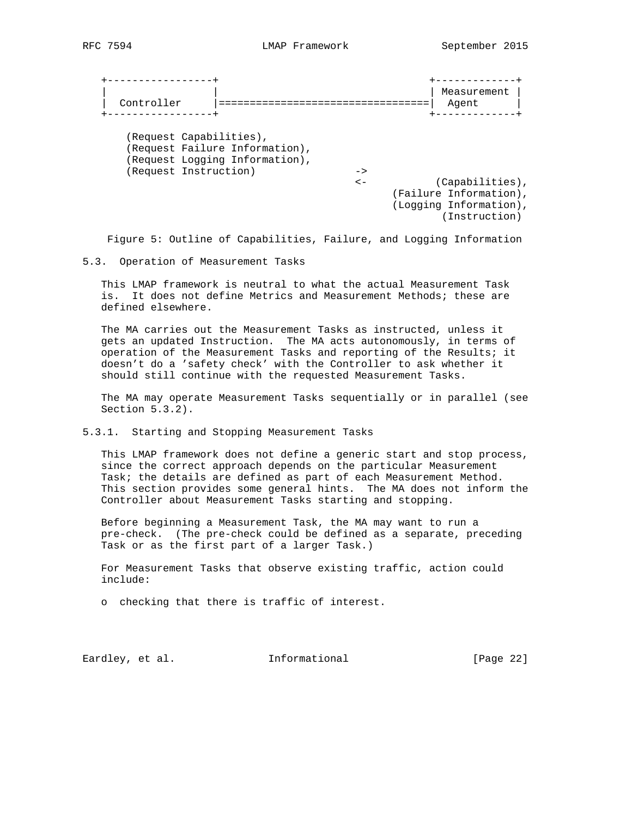|                         |                                |               | Measurement            |  |
|-------------------------|--------------------------------|---------------|------------------------|--|
| Controller              |                                |               | Agent                  |  |
|                         |                                |               |                        |  |
|                         |                                |               |                        |  |
| (Request Capabilities), |                                |               |                        |  |
|                         | (Request Failure Information), |               |                        |  |
|                         | (Request Logging Information), |               |                        |  |
| (Request Instruction)   |                                | $\rightarrow$ |                        |  |
|                         |                                | $\lt-$        | (Capabilities),        |  |
|                         |                                |               | (Failure Information), |  |
|                         |                                |               | (Logging Information), |  |
|                         |                                |               | (Instruction)          |  |
|                         |                                |               |                        |  |

Figure 5: Outline of Capabilities, Failure, and Logging Information

5.3. Operation of Measurement Tasks

 This LMAP framework is neutral to what the actual Measurement Task is. It does not define Metrics and Measurement Methods; these are defined elsewhere.

 The MA carries out the Measurement Tasks as instructed, unless it gets an updated Instruction. The MA acts autonomously, in terms of operation of the Measurement Tasks and reporting of the Results; it doesn't do a 'safety check' with the Controller to ask whether it should still continue with the requested Measurement Tasks.

 The MA may operate Measurement Tasks sequentially or in parallel (see Section 5.3.2).

5.3.1. Starting and Stopping Measurement Tasks

 This LMAP framework does not define a generic start and stop process, since the correct approach depends on the particular Measurement Task; the details are defined as part of each Measurement Method. This section provides some general hints. The MA does not inform the Controller about Measurement Tasks starting and stopping.

 Before beginning a Measurement Task, the MA may want to run a pre-check. (The pre-check could be defined as a separate, preceding Task or as the first part of a larger Task.)

 For Measurement Tasks that observe existing traffic, action could include:

o checking that there is traffic of interest.

Eardley, et al. 1nformational [Page 22]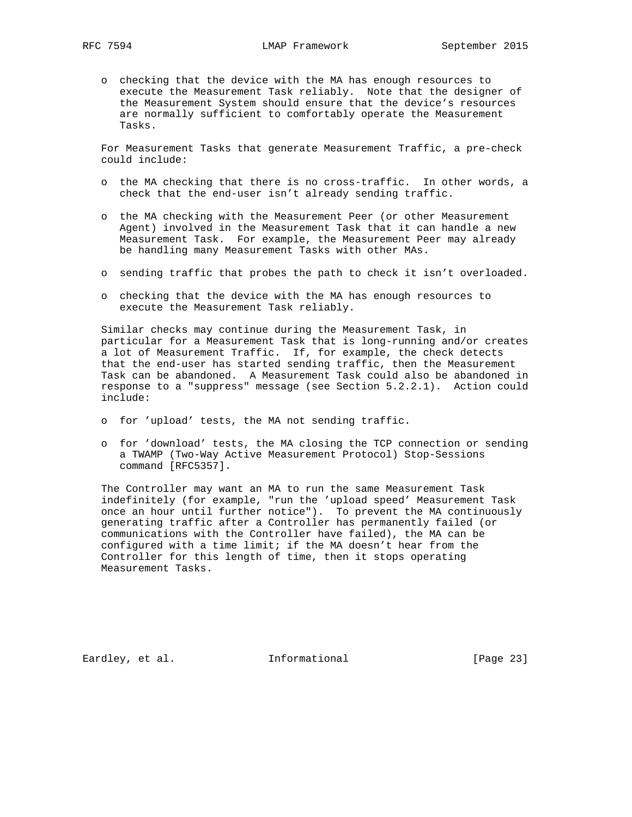o checking that the device with the MA has enough resources to execute the Measurement Task reliably. Note that the designer of the Measurement System should ensure that the device's resources are normally sufficient to comfortably operate the Measurement Tasks.

 For Measurement Tasks that generate Measurement Traffic, a pre-check could include:

- o the MA checking that there is no cross-traffic. In other words, a check that the end-user isn't already sending traffic.
- o the MA checking with the Measurement Peer (or other Measurement Agent) involved in the Measurement Task that it can handle a new Measurement Task. For example, the Measurement Peer may already be handling many Measurement Tasks with other MAs.
- o sending traffic that probes the path to check it isn't overloaded.
- o checking that the device with the MA has enough resources to execute the Measurement Task reliably.

 Similar checks may continue during the Measurement Task, in particular for a Measurement Task that is long-running and/or creates a lot of Measurement Traffic. If, for example, the check detects that the end-user has started sending traffic, then the Measurement Task can be abandoned. A Measurement Task could also be abandoned in response to a "suppress" message (see Section 5.2.2.1). Action could include:

- o for 'upload' tests, the MA not sending traffic.
- o for 'download' tests, the MA closing the TCP connection or sending a TWAMP (Two-Way Active Measurement Protocol) Stop-Sessions command [RFC5357].

 The Controller may want an MA to run the same Measurement Task indefinitely (for example, "run the 'upload speed' Measurement Task once an hour until further notice"). To prevent the MA continuously generating traffic after a Controller has permanently failed (or communications with the Controller have failed), the MA can be configured with a time limit; if the MA doesn't hear from the Controller for this length of time, then it stops operating Measurement Tasks.

Eardley, et al. 1nformational [Page 23]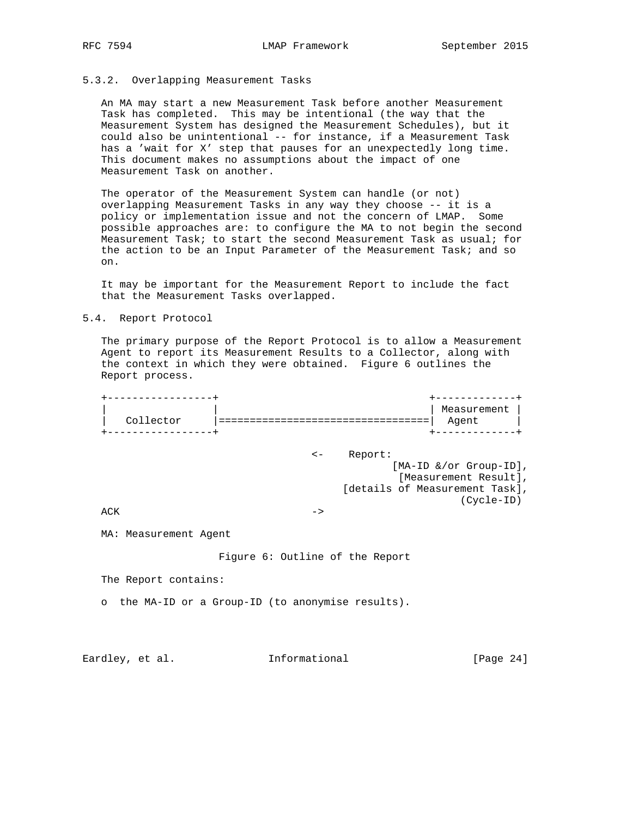## 5.3.2. Overlapping Measurement Tasks

 An MA may start a new Measurement Task before another Measurement Task has completed. This may be intentional (the way that the Measurement System has designed the Measurement Schedules), but it could also be unintentional -- for instance, if a Measurement Task has a 'wait for X' step that pauses for an unexpectedly long time. This document makes no assumptions about the impact of one Measurement Task on another.

 The operator of the Measurement System can handle (or not) overlapping Measurement Tasks in any way they choose -- it is a policy or implementation issue and not the concern of LMAP. Some possible approaches are: to configure the MA to not begin the second Measurement Task; to start the second Measurement Task as usual; for the action to be an Input Parameter of the Measurement Task; and so on.

 It may be important for the Measurement Report to include the fact that the Measurement Tasks overlapped.

## 5.4. Report Protocol

 The primary purpose of the Report Protocol is to allow a Measurement Agent to report its Measurement Results to a Collector, along with the context in which they were obtained. Figure 6 outlines the Report process.

| Collector | Measurement |
|-----------|-------------|
|           | Agent       |

 <- Report: [MA-ID &/or Group-ID], [Measurement Result], [details of Measurement Task], (Cycle-ID)

 $ACK$  ->

MA: Measurement Agent

Figure 6: Outline of the Report

The Report contains:

o the MA-ID or a Group-ID (to anonymise results).

Eardley, et al. 1nformational [Page 24]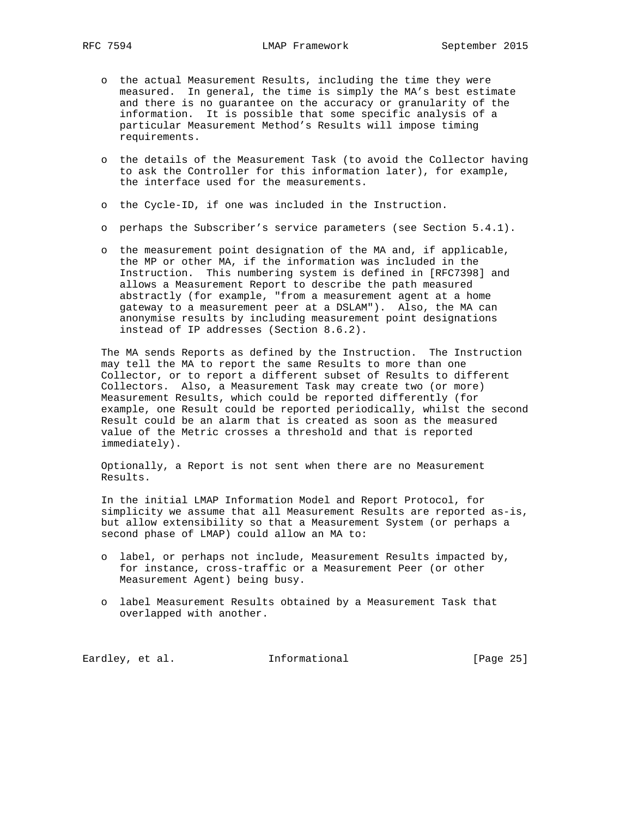- o the actual Measurement Results, including the time they were measured. In general, the time is simply the MA's best estimate and there is no guarantee on the accuracy or granularity of the information. It is possible that some specific analysis of a particular Measurement Method's Results will impose timing requirements.
- o the details of the Measurement Task (to avoid the Collector having to ask the Controller for this information later), for example, the interface used for the measurements.
- o the Cycle-ID, if one was included in the Instruction.
- o perhaps the Subscriber's service parameters (see Section 5.4.1).
- o the measurement point designation of the MA and, if applicable, the MP or other MA, if the information was included in the Instruction. This numbering system is defined in [RFC7398] and allows a Measurement Report to describe the path measured abstractly (for example, "from a measurement agent at a home gateway to a measurement peer at a DSLAM"). Also, the MA can anonymise results by including measurement point designations instead of IP addresses (Section 8.6.2).

 The MA sends Reports as defined by the Instruction. The Instruction may tell the MA to report the same Results to more than one Collector, or to report a different subset of Results to different Collectors. Also, a Measurement Task may create two (or more) Measurement Results, which could be reported differently (for example, one Result could be reported periodically, whilst the second Result could be an alarm that is created as soon as the measured value of the Metric crosses a threshold and that is reported immediately).

 Optionally, a Report is not sent when there are no Measurement Results.

 In the initial LMAP Information Model and Report Protocol, for simplicity we assume that all Measurement Results are reported as-is, but allow extensibility so that a Measurement System (or perhaps a second phase of LMAP) could allow an MA to:

- o label, or perhaps not include, Measurement Results impacted by, for instance, cross-traffic or a Measurement Peer (or other Measurement Agent) being busy.
- o label Measurement Results obtained by a Measurement Task that overlapped with another.

Eardley, et al. 1nformational [Page 25]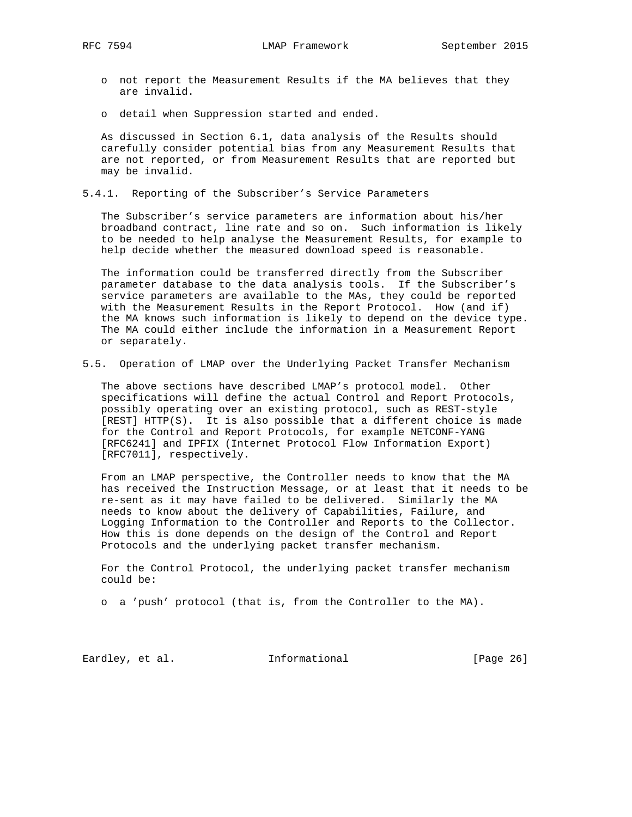- o not report the Measurement Results if the MA believes that they are invalid.
- o detail when Suppression started and ended.

 As discussed in Section 6.1, data analysis of the Results should carefully consider potential bias from any Measurement Results that are not reported, or from Measurement Results that are reported but may be invalid.

5.4.1. Reporting of the Subscriber's Service Parameters

 The Subscriber's service parameters are information about his/her broadband contract, line rate and so on. Such information is likely to be needed to help analyse the Measurement Results, for example to help decide whether the measured download speed is reasonable.

 The information could be transferred directly from the Subscriber parameter database to the data analysis tools. If the Subscriber's service parameters are available to the MAs, they could be reported with the Measurement Results in the Report Protocol. How (and if) the MA knows such information is likely to depend on the device type. The MA could either include the information in a Measurement Report or separately.

5.5. Operation of LMAP over the Underlying Packet Transfer Mechanism

 The above sections have described LMAP's protocol model. Other specifications will define the actual Control and Report Protocols, possibly operating over an existing protocol, such as REST-style [REST] HTTP(S). It is also possible that a different choice is made for the Control and Report Protocols, for example NETCONF-YANG [RFC6241] and IPFIX (Internet Protocol Flow Information Export) [RFC7011], respectively.

 From an LMAP perspective, the Controller needs to know that the MA has received the Instruction Message, or at least that it needs to be re-sent as it may have failed to be delivered. Similarly the MA needs to know about the delivery of Capabilities, Failure, and Logging Information to the Controller and Reports to the Collector. How this is done depends on the design of the Control and Report Protocols and the underlying packet transfer mechanism.

 For the Control Protocol, the underlying packet transfer mechanism could be:

o a 'push' protocol (that is, from the Controller to the MA).

Eardley, et al. 1nformational [Page 26]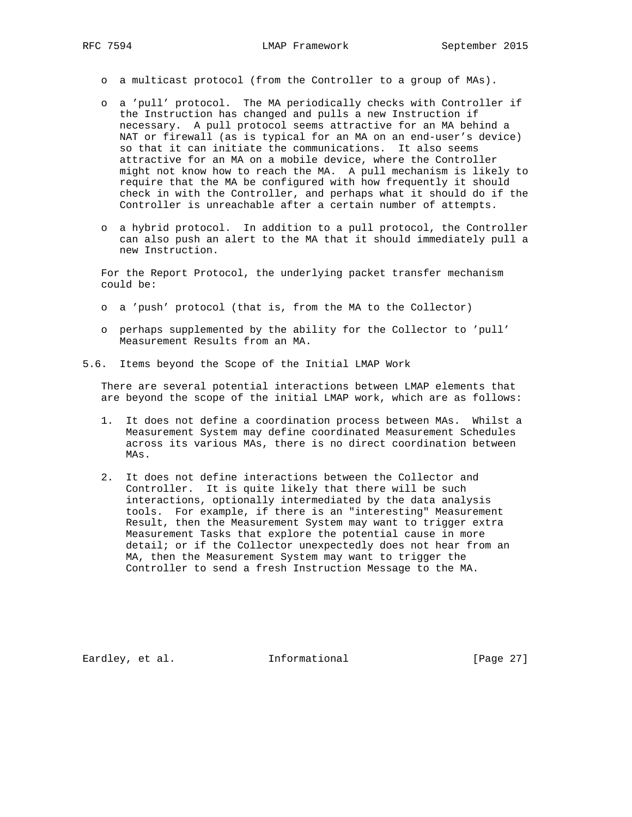- o a multicast protocol (from the Controller to a group of MAs).
- o a 'pull' protocol. The MA periodically checks with Controller if the Instruction has changed and pulls a new Instruction if necessary. A pull protocol seems attractive for an MA behind a NAT or firewall (as is typical for an MA on an end-user's device) so that it can initiate the communications. It also seems attractive for an MA on a mobile device, where the Controller might not know how to reach the MA. A pull mechanism is likely to require that the MA be configured with how frequently it should check in with the Controller, and perhaps what it should do if the Controller is unreachable after a certain number of attempts.
- o a hybrid protocol. In addition to a pull protocol, the Controller can also push an alert to the MA that it should immediately pull a new Instruction.

 For the Report Protocol, the underlying packet transfer mechanism could be:

- o a 'push' protocol (that is, from the MA to the Collector)
- o perhaps supplemented by the ability for the Collector to 'pull' Measurement Results from an MA.
- 5.6. Items beyond the Scope of the Initial LMAP Work

 There are several potential interactions between LMAP elements that are beyond the scope of the initial LMAP work, which are as follows:

- 1. It does not define a coordination process between MAs. Whilst a Measurement System may define coordinated Measurement Schedules across its various MAs, there is no direct coordination between MAs.
- 2. It does not define interactions between the Collector and Controller. It is quite likely that there will be such interactions, optionally intermediated by the data analysis tools. For example, if there is an "interesting" Measurement Result, then the Measurement System may want to trigger extra Measurement Tasks that explore the potential cause in more detail; or if the Collector unexpectedly does not hear from an MA, then the Measurement System may want to trigger the Controller to send a fresh Instruction Message to the MA.

Eardley, et al. 1nformational [Page 27]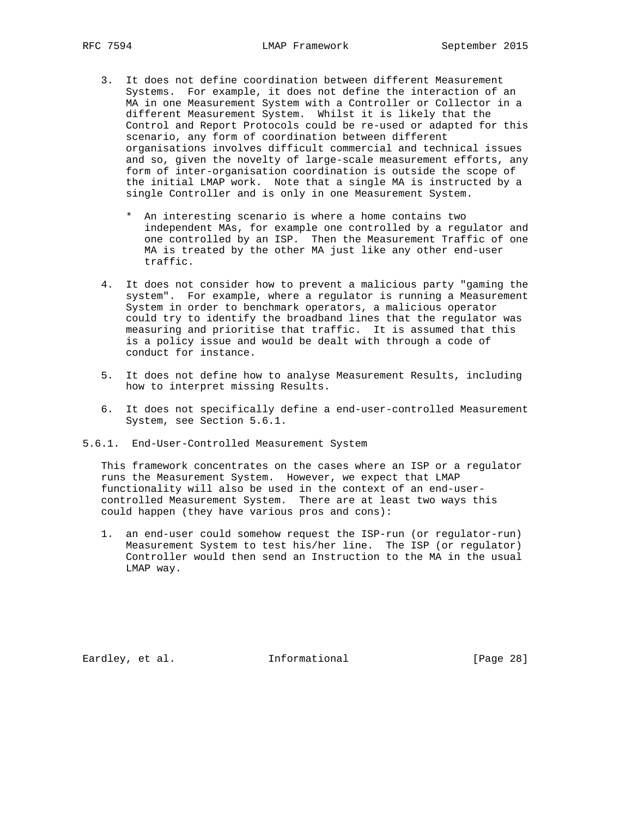- 3. It does not define coordination between different Measurement Systems. For example, it does not define the interaction of an MA in one Measurement System with a Controller or Collector in a different Measurement System. Whilst it is likely that the Control and Report Protocols could be re-used or adapted for this scenario, any form of coordination between different organisations involves difficult commercial and technical issues and so, given the novelty of large-scale measurement efforts, any form of inter-organisation coordination is outside the scope of the initial LMAP work. Note that a single MA is instructed by a single Controller and is only in one Measurement System.
	- \* An interesting scenario is where a home contains two independent MAs, for example one controlled by a regulator and one controlled by an ISP. Then the Measurement Traffic of one MA is treated by the other MA just like any other end-user traffic.
- 4. It does not consider how to prevent a malicious party "gaming the system". For example, where a regulator is running a Measurement System in order to benchmark operators, a malicious operator could try to identify the broadband lines that the regulator was measuring and prioritise that traffic. It is assumed that this is a policy issue and would be dealt with through a code of conduct for instance.
- 5. It does not define how to analyse Measurement Results, including how to interpret missing Results.
- 6. It does not specifically define a end-user-controlled Measurement System, see Section 5.6.1.
- 5.6.1. End-User-Controlled Measurement System

 This framework concentrates on the cases where an ISP or a regulator runs the Measurement System. However, we expect that LMAP functionality will also be used in the context of an end-user controlled Measurement System. There are at least two ways this could happen (they have various pros and cons):

 1. an end-user could somehow request the ISP-run (or regulator-run) Measurement System to test his/her line. The ISP (or regulator) Controller would then send an Instruction to the MA in the usual LMAP way.

Eardley, et al. 1nformational [Page 28]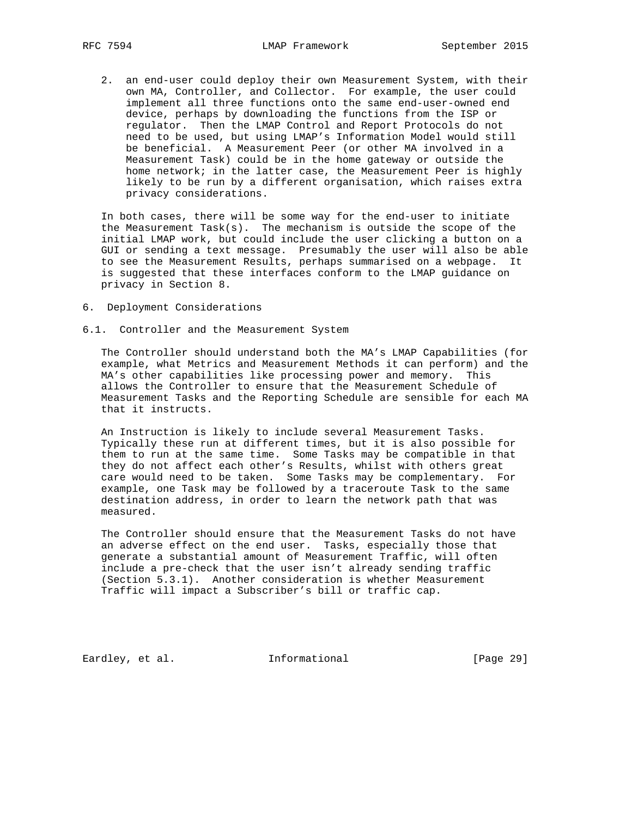2. an end-user could deploy their own Measurement System, with their own MA, Controller, and Collector. For example, the user could implement all three functions onto the same end-user-owned end device, perhaps by downloading the functions from the ISP or regulator. Then the LMAP Control and Report Protocols do not need to be used, but using LMAP's Information Model would still be beneficial. A Measurement Peer (or other MA involved in a Measurement Task) could be in the home gateway or outside the home network; in the latter case, the Measurement Peer is highly likely to be run by a different organisation, which raises extra privacy considerations.

 In both cases, there will be some way for the end-user to initiate the Measurement Task $(s)$ . The mechanism is outside the scope of the initial LMAP work, but could include the user clicking a button on a GUI or sending a text message. Presumably the user will also be able to see the Measurement Results, perhaps summarised on a webpage. It is suggested that these interfaces conform to the LMAP guidance on privacy in Section 8.

- 6. Deployment Considerations
- 6.1. Controller and the Measurement System

 The Controller should understand both the MA's LMAP Capabilities (for example, what Metrics and Measurement Methods it can perform) and the MA's other capabilities like processing power and memory. This allows the Controller to ensure that the Measurement Schedule of Measurement Tasks and the Reporting Schedule are sensible for each MA that it instructs.

 An Instruction is likely to include several Measurement Tasks. Typically these run at different times, but it is also possible for them to run at the same time. Some Tasks may be compatible in that they do not affect each other's Results, whilst with others great care would need to be taken. Some Tasks may be complementary. For example, one Task may be followed by a traceroute Task to the same destination address, in order to learn the network path that was measured.

 The Controller should ensure that the Measurement Tasks do not have an adverse effect on the end user. Tasks, especially those that generate a substantial amount of Measurement Traffic, will often include a pre-check that the user isn't already sending traffic (Section 5.3.1). Another consideration is whether Measurement Traffic will impact a Subscriber's bill or traffic cap.

Eardley, et al. 1nformational [Page 29]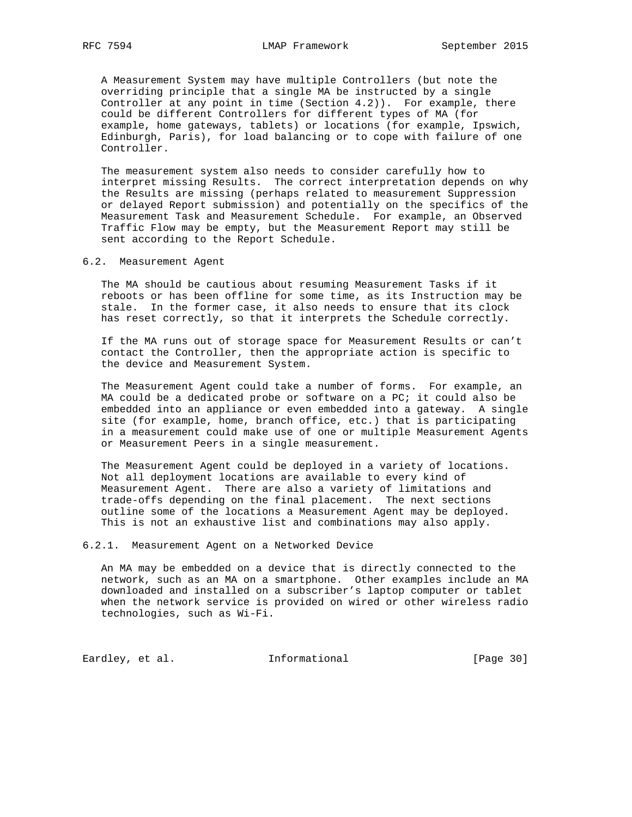A Measurement System may have multiple Controllers (but note the overriding principle that a single MA be instructed by a single Controller at any point in time (Section  $4.2$ )). For example, there could be different Controllers for different types of MA (for example, home gateways, tablets) or locations (for example, Ipswich, Edinburgh, Paris), for load balancing or to cope with failure of one Controller.

 The measurement system also needs to consider carefully how to interpret missing Results. The correct interpretation depends on why the Results are missing (perhaps related to measurement Suppression or delayed Report submission) and potentially on the specifics of the Measurement Task and Measurement Schedule. For example, an Observed Traffic Flow may be empty, but the Measurement Report may still be sent according to the Report Schedule.

6.2. Measurement Agent

 The MA should be cautious about resuming Measurement Tasks if it reboots or has been offline for some time, as its Instruction may be stale. In the former case, it also needs to ensure that its clock has reset correctly, so that it interprets the Schedule correctly.

 If the MA runs out of storage space for Measurement Results or can't contact the Controller, then the appropriate action is specific to the device and Measurement System.

 The Measurement Agent could take a number of forms. For example, an MA could be a dedicated probe or software on a PC; it could also be embedded into an appliance or even embedded into a gateway. A single site (for example, home, branch office, etc.) that is participating in a measurement could make use of one or multiple Measurement Agents or Measurement Peers in a single measurement.

 The Measurement Agent could be deployed in a variety of locations. Not all deployment locations are available to every kind of Measurement Agent. There are also a variety of limitations and trade-offs depending on the final placement. The next sections outline some of the locations a Measurement Agent may be deployed. This is not an exhaustive list and combinations may also apply.

6.2.1. Measurement Agent on a Networked Device

 An MA may be embedded on a device that is directly connected to the network, such as an MA on a smartphone. Other examples include an MA downloaded and installed on a subscriber's laptop computer or tablet when the network service is provided on wired or other wireless radio technologies, such as Wi-Fi.

Eardley, et al. 1nformational [Page 30]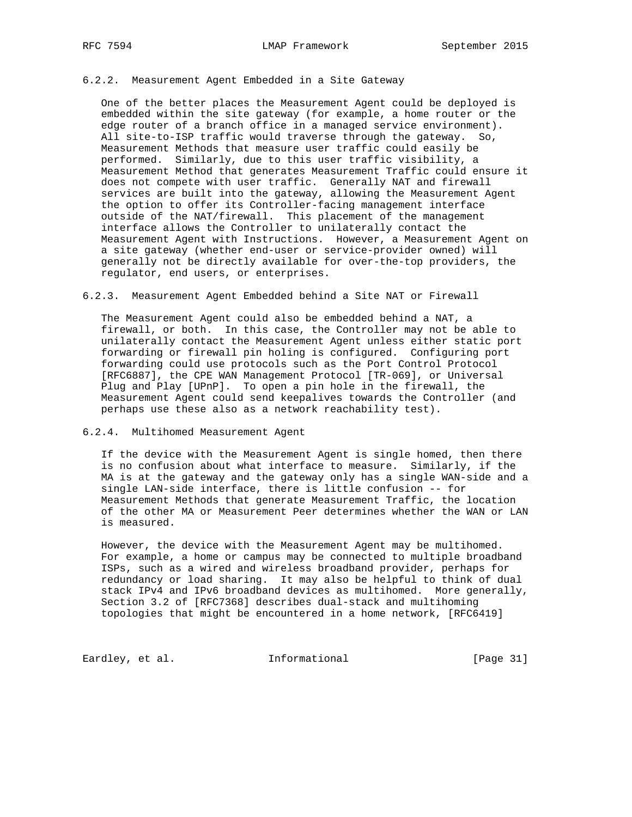### 6.2.2. Measurement Agent Embedded in a Site Gateway

 One of the better places the Measurement Agent could be deployed is embedded within the site gateway (for example, a home router or the edge router of a branch office in a managed service environment). All site-to-ISP traffic would traverse through the gateway. So, Measurement Methods that measure user traffic could easily be performed. Similarly, due to this user traffic visibility, a Measurement Method that generates Measurement Traffic could ensure it does not compete with user traffic. Generally NAT and firewall services are built into the gateway, allowing the Measurement Agent the option to offer its Controller-facing management interface outside of the NAT/firewall. This placement of the management interface allows the Controller to unilaterally contact the Measurement Agent with Instructions. However, a Measurement Agent on a site gateway (whether end-user or service-provider owned) will generally not be directly available for over-the-top providers, the regulator, end users, or enterprises.

6.2.3. Measurement Agent Embedded behind a Site NAT or Firewall

 The Measurement Agent could also be embedded behind a NAT, a firewall, or both. In this case, the Controller may not be able to unilaterally contact the Measurement Agent unless either static port forwarding or firewall pin holing is configured. Configuring port forwarding could use protocols such as the Port Control Protocol [RFC6887], the CPE WAN Management Protocol [TR-069], or Universal Plug and Play [UPnP]. To open a pin hole in the firewall, the Measurement Agent could send keepalives towards the Controller (and perhaps use these also as a network reachability test).

### 6.2.4. Multihomed Measurement Agent

 If the device with the Measurement Agent is single homed, then there is no confusion about what interface to measure. Similarly, if the MA is at the gateway and the gateway only has a single WAN-side and a single LAN-side interface, there is little confusion -- for Measurement Methods that generate Measurement Traffic, the location of the other MA or Measurement Peer determines whether the WAN or LAN is measured.

 However, the device with the Measurement Agent may be multihomed. For example, a home or campus may be connected to multiple broadband ISPs, such as a wired and wireless broadband provider, perhaps for redundancy or load sharing. It may also be helpful to think of dual stack IPv4 and IPv6 broadband devices as multihomed. More generally, Section 3.2 of [RFC7368] describes dual-stack and multihoming topologies that might be encountered in a home network, [RFC6419]

Eardley, et al. 1nformational [Page 31]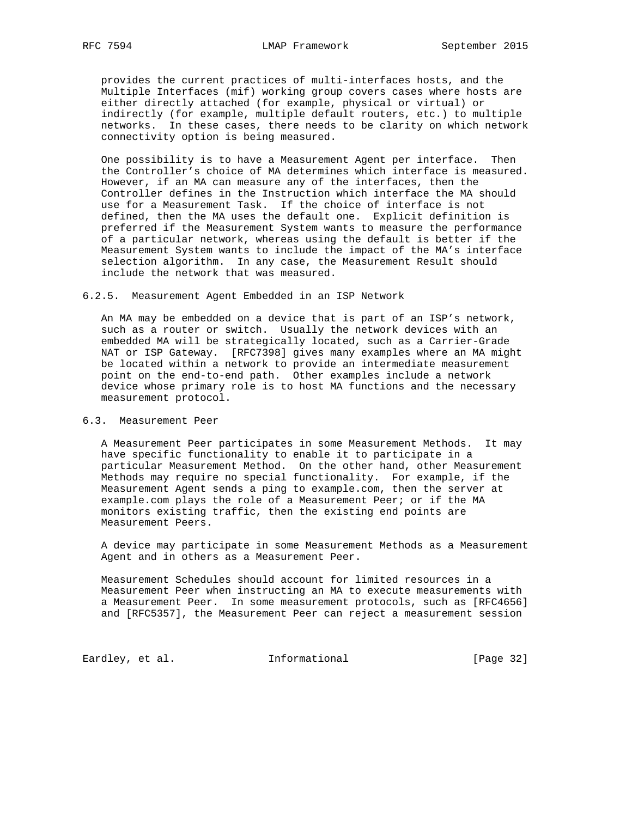provides the current practices of multi-interfaces hosts, and the Multiple Interfaces (mif) working group covers cases where hosts are either directly attached (for example, physical or virtual) or indirectly (for example, multiple default routers, etc.) to multiple networks. In these cases, there needs to be clarity on which network connectivity option is being measured.

 One possibility is to have a Measurement Agent per interface. Then the Controller's choice of MA determines which interface is measured. However, if an MA can measure any of the interfaces, then the Controller defines in the Instruction which interface the MA should use for a Measurement Task. If the choice of interface is not defined, then the MA uses the default one. Explicit definition is preferred if the Measurement System wants to measure the performance of a particular network, whereas using the default is better if the Measurement System wants to include the impact of the MA's interface selection algorithm. In any case, the Measurement Result should include the network that was measured.

6.2.5. Measurement Agent Embedded in an ISP Network

 An MA may be embedded on a device that is part of an ISP's network, such as a router or switch. Usually the network devices with an embedded MA will be strategically located, such as a Carrier-Grade NAT or ISP Gateway. [RFC7398] gives many examples where an MA might be located within a network to provide an intermediate measurement point on the end-to-end path. Other examples include a network device whose primary role is to host MA functions and the necessary measurement protocol.

6.3. Measurement Peer

 A Measurement Peer participates in some Measurement Methods. It may have specific functionality to enable it to participate in a particular Measurement Method. On the other hand, other Measurement Methods may require no special functionality. For example, if the Measurement Agent sends a ping to example.com, then the server at example.com plays the role of a Measurement Peer; or if the MA monitors existing traffic, then the existing end points are Measurement Peers.

 A device may participate in some Measurement Methods as a Measurement Agent and in others as a Measurement Peer.

 Measurement Schedules should account for limited resources in a Measurement Peer when instructing an MA to execute measurements with a Measurement Peer. In some measurement protocols, such as [RFC4656] and [RFC5357], the Measurement Peer can reject a measurement session

Eardley, et al. 1nformational [Page 32]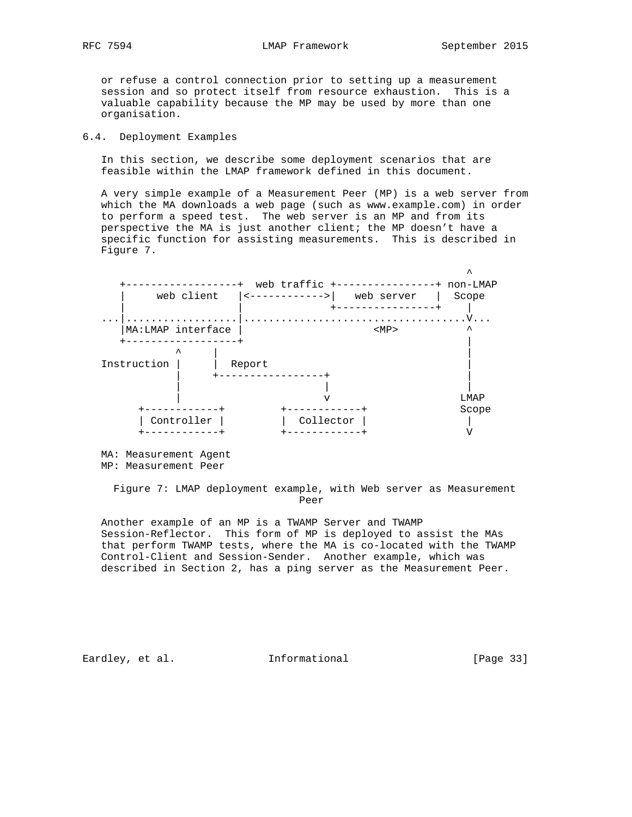or refuse a control connection prior to setting up a measurement session and so protect itself from resource exhaustion. This is a valuable capability because the MP may be used by more than one organisation.

### 6.4. Deployment Examples

 In this section, we describe some deployment scenarios that are feasible within the LMAP framework defined in this document.

 A very simple example of a Measurement Peer (MP) is a web server from which the MA downloads a web page (such as www.example.com) in order to perform a speed test. The web server is an MP and from its perspective the MA is just another client; the MP doesn't have a specific function for assisting measurements. This is described in Figure 7.



 MA: Measurement Agent MP: Measurement Peer

 Figure 7: LMAP deployment example, with Web server as Measurement Peer

 Another example of an MP is a TWAMP Server and TWAMP Session-Reflector. This form of MP is deployed to assist the MAs that perform TWAMP tests, where the MA is co-located with the TWAMP Control-Client and Session-Sender. Another example, which was described in Section 2, has a ping server as the Measurement Peer.

Eardley, et al. 1nformational [Page 33]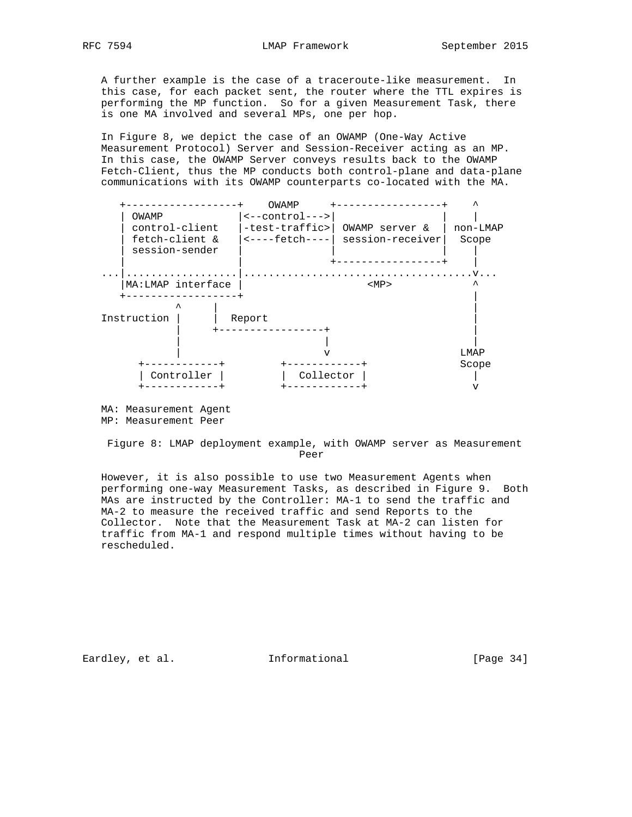A further example is the case of a traceroute-like measurement. In this case, for each packet sent, the router where the TTL expires is performing the MP function. So for a given Measurement Task, there is one MA involved and several MPs, one per hop.

 In Figure 8, we depict the case of an OWAMP (One-Way Active Measurement Protocol) Server and Session-Receiver acting as an MP. In this case, the OWAMP Server conveys results back to the OWAMP Fetch-Client, thus the MP conducts both control-plane and data-plane communications with its OWAMP counterparts co-located with the MA.



 MA: Measurement Agent MP: Measurement Peer

 Figure 8: LMAP deployment example, with OWAMP server as Measurement Peer

 However, it is also possible to use two Measurement Agents when performing one-way Measurement Tasks, as described in Figure 9. Both MAs are instructed by the Controller: MA-1 to send the traffic and MA-2 to measure the received traffic and send Reports to the Collector. Note that the Measurement Task at MA-2 can listen for traffic from MA-1 and respond multiple times without having to be rescheduled.

Eardley, et al. 1nformational [Page 34]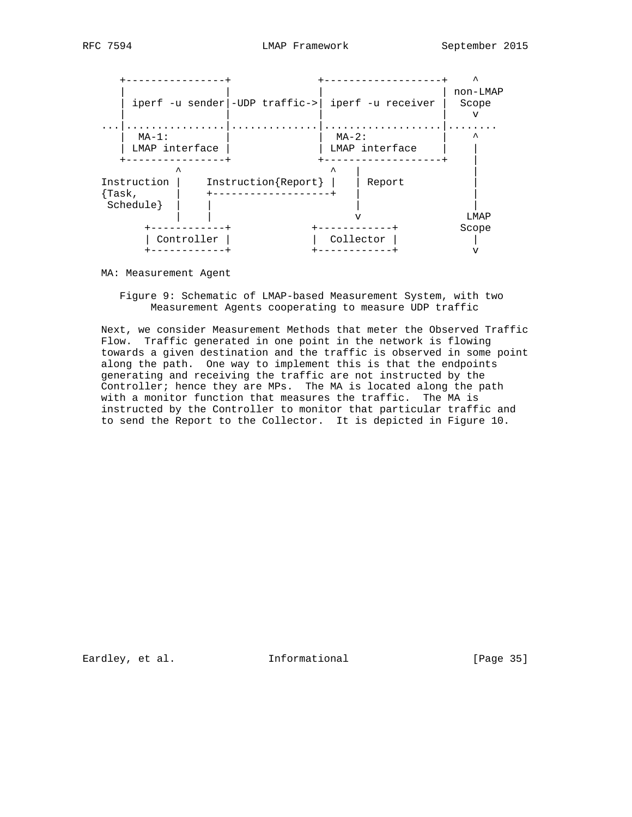

MA: Measurement Agent

 Figure 9: Schematic of LMAP-based Measurement System, with two Measurement Agents cooperating to measure UDP traffic

 Next, we consider Measurement Methods that meter the Observed Traffic Flow. Traffic generated in one point in the network is flowing towards a given destination and the traffic is observed in some point along the path. One way to implement this is that the endpoints generating and receiving the traffic are not instructed by the Controller; hence they are MPs. The MA is located along the path with a monitor function that measures the traffic. The MA is instructed by the Controller to monitor that particular traffic and to send the Report to the Collector. It is depicted in Figure 10.

Eardley, et al. 1nformational [Page 35]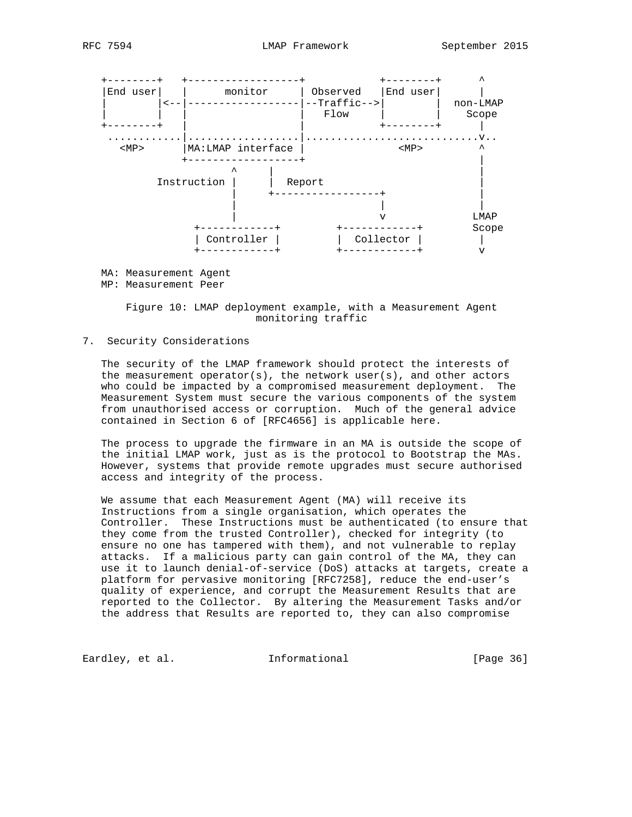



MA: Measurement Agent

MP: Measurement Peer

 Figure 10: LMAP deployment example, with a Measurement Agent monitoring traffic

## 7. Security Considerations

 The security of the LMAP framework should protect the interests of the measurement operator(s), the network user(s), and other actors who could be impacted by a compromised measurement deployment. The Measurement System must secure the various components of the system from unauthorised access or corruption. Much of the general advice contained in Section 6 of [RFC4656] is applicable here.

 The process to upgrade the firmware in an MA is outside the scope of the initial LMAP work, just as is the protocol to Bootstrap the MAs. However, systems that provide remote upgrades must secure authorised access and integrity of the process.

 We assume that each Measurement Agent (MA) will receive its Instructions from a single organisation, which operates the Controller. These Instructions must be authenticated (to ensure that they come from the trusted Controller), checked for integrity (to ensure no one has tampered with them), and not vulnerable to replay attacks. If a malicious party can gain control of the MA, they can use it to launch denial-of-service (DoS) attacks at targets, create a platform for pervasive monitoring [RFC7258], reduce the end-user's quality of experience, and corrupt the Measurement Results that are reported to the Collector. By altering the Measurement Tasks and/or the address that Results are reported to, they can also compromise

Eardley, et al. 1nformational [Page 36]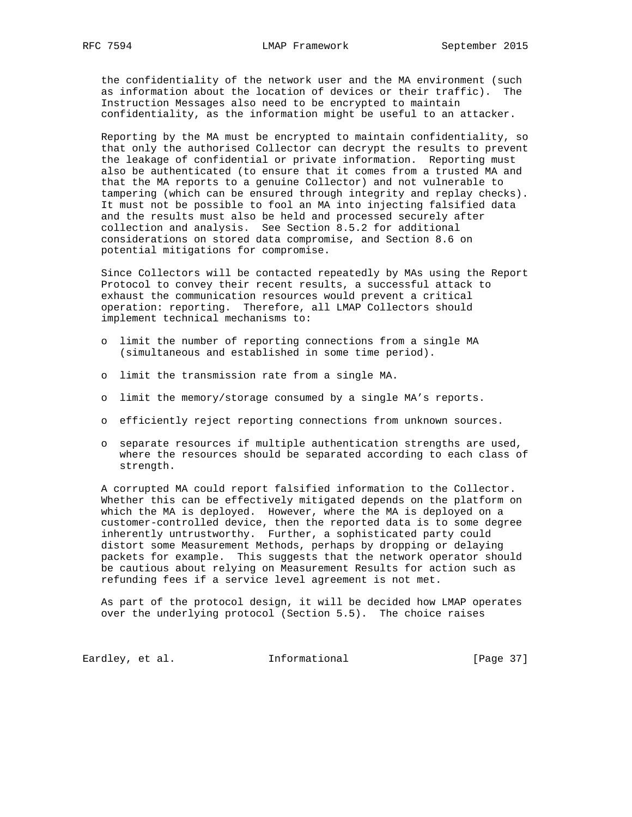the confidentiality of the network user and the MA environment (such as information about the location of devices or their traffic). The Instruction Messages also need to be encrypted to maintain confidentiality, as the information might be useful to an attacker.

 Reporting by the MA must be encrypted to maintain confidentiality, so that only the authorised Collector can decrypt the results to prevent the leakage of confidential or private information. Reporting must also be authenticated (to ensure that it comes from a trusted MA and that the MA reports to a genuine Collector) and not vulnerable to tampering (which can be ensured through integrity and replay checks). It must not be possible to fool an MA into injecting falsified data and the results must also be held and processed securely after collection and analysis. See Section 8.5.2 for additional considerations on stored data compromise, and Section 8.6 on potential mitigations for compromise.

 Since Collectors will be contacted repeatedly by MAs using the Report Protocol to convey their recent results, a successful attack to exhaust the communication resources would prevent a critical operation: reporting. Therefore, all LMAP Collectors should implement technical mechanisms to:

- o limit the number of reporting connections from a single MA (simultaneous and established in some time period).
- o limit the transmission rate from a single MA.
- o limit the memory/storage consumed by a single MA's reports.
- o efficiently reject reporting connections from unknown sources.
- o separate resources if multiple authentication strengths are used, where the resources should be separated according to each class of strength.

 A corrupted MA could report falsified information to the Collector. Whether this can be effectively mitigated depends on the platform on which the MA is deployed. However, where the MA is deployed on a customer-controlled device, then the reported data is to some degree inherently untrustworthy. Further, a sophisticated party could distort some Measurement Methods, perhaps by dropping or delaying packets for example. This suggests that the network operator should be cautious about relying on Measurement Results for action such as refunding fees if a service level agreement is not met.

 As part of the protocol design, it will be decided how LMAP operates over the underlying protocol (Section 5.5). The choice raises

Eardley, et al. 1nformational [Page 37]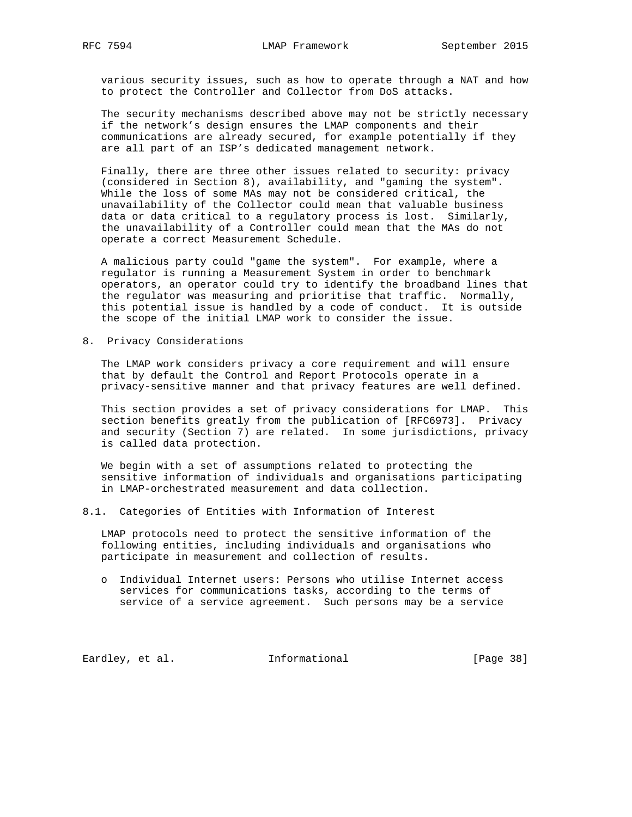various security issues, such as how to operate through a NAT and how to protect the Controller and Collector from DoS attacks.

 The security mechanisms described above may not be strictly necessary if the network's design ensures the LMAP components and their communications are already secured, for example potentially if they are all part of an ISP's dedicated management network.

 Finally, there are three other issues related to security: privacy (considered in Section 8), availability, and "gaming the system". While the loss of some MAs may not be considered critical, the unavailability of the Collector could mean that valuable business data or data critical to a regulatory process is lost. Similarly, the unavailability of a Controller could mean that the MAs do not operate a correct Measurement Schedule.

 A malicious party could "game the system". For example, where a regulator is running a Measurement System in order to benchmark operators, an operator could try to identify the broadband lines that the regulator was measuring and prioritise that traffic. Normally, this potential issue is handled by a code of conduct. It is outside the scope of the initial LMAP work to consider the issue.

8. Privacy Considerations

 The LMAP work considers privacy a core requirement and will ensure that by default the Control and Report Protocols operate in a privacy-sensitive manner and that privacy features are well defined.

 This section provides a set of privacy considerations for LMAP. This section benefits greatly from the publication of [RFC6973]. Privacy and security (Section 7) are related. In some jurisdictions, privacy is called data protection.

 We begin with a set of assumptions related to protecting the sensitive information of individuals and organisations participating in LMAP-orchestrated measurement and data collection.

8.1. Categories of Entities with Information of Interest

 LMAP protocols need to protect the sensitive information of the following entities, including individuals and organisations who participate in measurement and collection of results.

 o Individual Internet users: Persons who utilise Internet access services for communications tasks, according to the terms of service of a service agreement. Such persons may be a service

Eardley, et al. 1nformational [Page 38]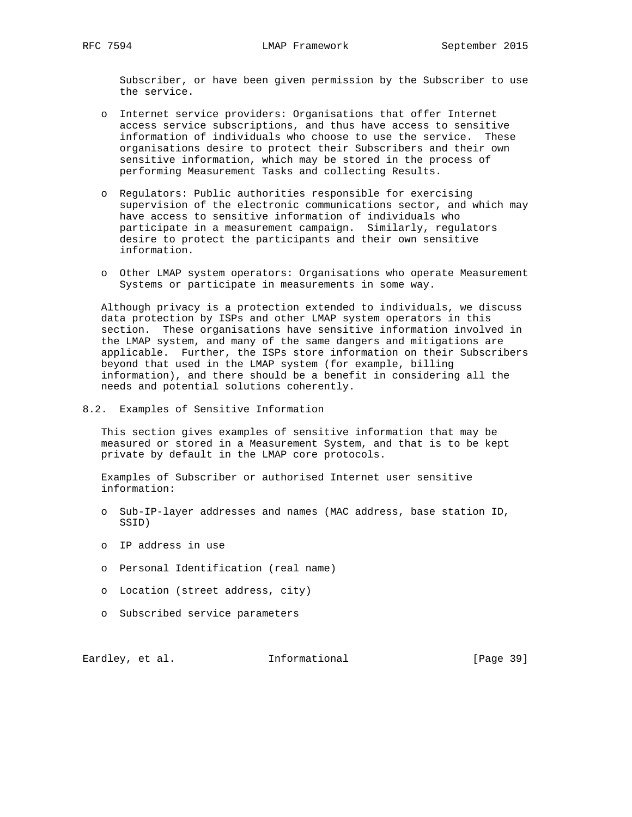Subscriber, or have been given permission by the Subscriber to use the service.

- o Internet service providers: Organisations that offer Internet access service subscriptions, and thus have access to sensitive information of individuals who choose to use the service. These organisations desire to protect their Subscribers and their own sensitive information, which may be stored in the process of performing Measurement Tasks and collecting Results.
- o Regulators: Public authorities responsible for exercising supervision of the electronic communications sector, and which may have access to sensitive information of individuals who participate in a measurement campaign. Similarly, regulators desire to protect the participants and their own sensitive information.
- o Other LMAP system operators: Organisations who operate Measurement Systems or participate in measurements in some way.

 Although privacy is a protection extended to individuals, we discuss data protection by ISPs and other LMAP system operators in this section. These organisations have sensitive information involved in the LMAP system, and many of the same dangers and mitigations are applicable. Further, the ISPs store information on their Subscribers beyond that used in the LMAP system (for example, billing information), and there should be a benefit in considering all the needs and potential solutions coherently.

8.2. Examples of Sensitive Information

 This section gives examples of sensitive information that may be measured or stored in a Measurement System, and that is to be kept private by default in the LMAP core protocols.

 Examples of Subscriber or authorised Internet user sensitive information:

- o Sub-IP-layer addresses and names (MAC address, base station ID, SSID)
- o IP address in use
- o Personal Identification (real name)
- o Location (street address, city)
- o Subscribed service parameters

Eardley, et al. 1nformational [Page 39]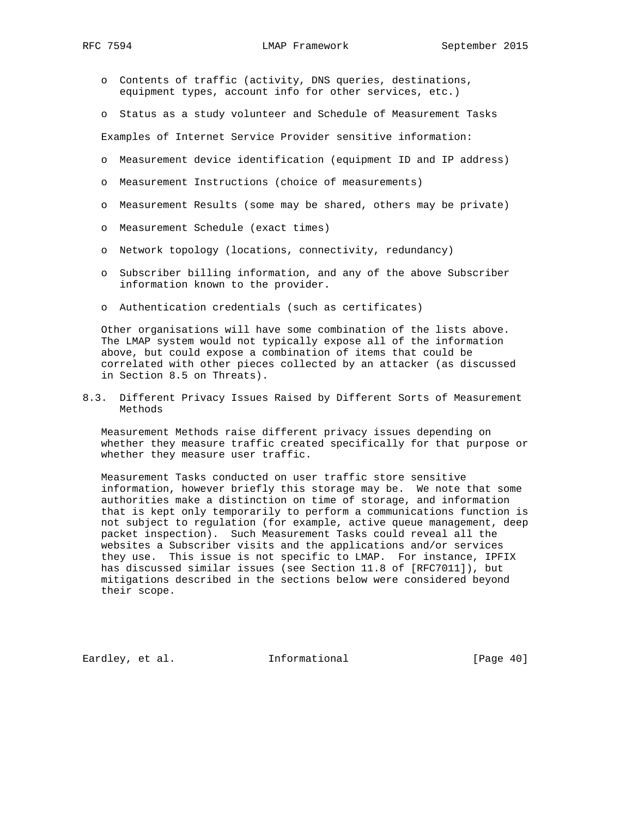- o Contents of traffic (activity, DNS queries, destinations, equipment types, account info for other services, etc.)
- o Status as a study volunteer and Schedule of Measurement Tasks

Examples of Internet Service Provider sensitive information:

- o Measurement device identification (equipment ID and IP address)
- o Measurement Instructions (choice of measurements)
- o Measurement Results (some may be shared, others may be private)
- o Measurement Schedule (exact times)
- o Network topology (locations, connectivity, redundancy)
- o Subscriber billing information, and any of the above Subscriber information known to the provider.
- o Authentication credentials (such as certificates)

 Other organisations will have some combination of the lists above. The LMAP system would not typically expose all of the information above, but could expose a combination of items that could be correlated with other pieces collected by an attacker (as discussed in Section 8.5 on Threats).

8.3. Different Privacy Issues Raised by Different Sorts of Measurement Methods

 Measurement Methods raise different privacy issues depending on whether they measure traffic created specifically for that purpose or whether they measure user traffic.

 Measurement Tasks conducted on user traffic store sensitive information, however briefly this storage may be. We note that some authorities make a distinction on time of storage, and information that is kept only temporarily to perform a communications function is not subject to regulation (for example, active queue management, deep packet inspection). Such Measurement Tasks could reveal all the websites a Subscriber visits and the applications and/or services they use. This issue is not specific to LMAP. For instance, IPFIX has discussed similar issues (see Section 11.8 of [RFC7011]), but mitigations described in the sections below were considered beyond their scope.

Eardley, et al. 1nformational [Page 40]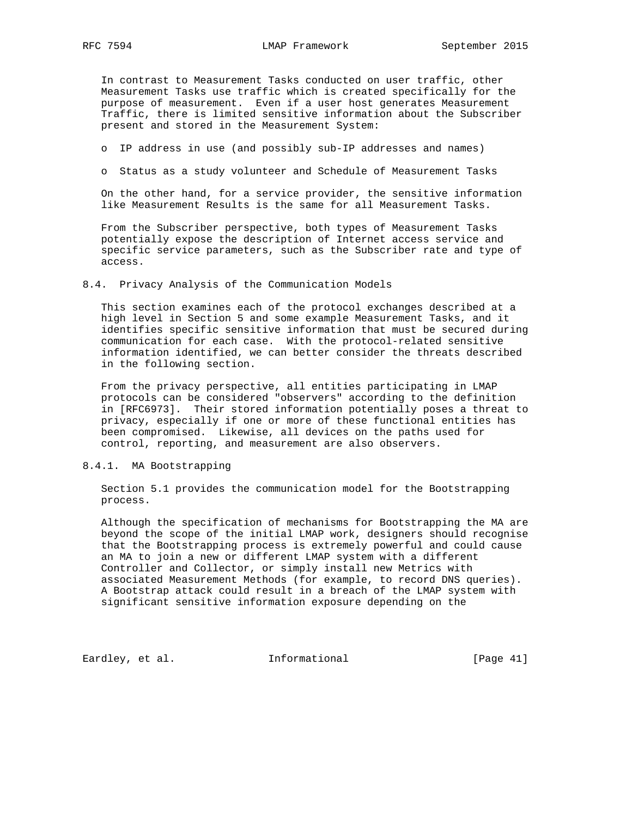In contrast to Measurement Tasks conducted on user traffic, other Measurement Tasks use traffic which is created specifically for the purpose of measurement. Even if a user host generates Measurement Traffic, there is limited sensitive information about the Subscriber present and stored in the Measurement System:

- o IP address in use (and possibly sub-IP addresses and names)
- o Status as a study volunteer and Schedule of Measurement Tasks

 On the other hand, for a service provider, the sensitive information like Measurement Results is the same for all Measurement Tasks.

 From the Subscriber perspective, both types of Measurement Tasks potentially expose the description of Internet access service and specific service parameters, such as the Subscriber rate and type of access.

8.4. Privacy Analysis of the Communication Models

 This section examines each of the protocol exchanges described at a high level in Section 5 and some example Measurement Tasks, and it identifies specific sensitive information that must be secured during communication for each case. With the protocol-related sensitive information identified, we can better consider the threats described in the following section.

 From the privacy perspective, all entities participating in LMAP protocols can be considered "observers" according to the definition in [RFC6973]. Their stored information potentially poses a threat to privacy, especially if one or more of these functional entities has been compromised. Likewise, all devices on the paths used for control, reporting, and measurement are also observers.

# 8.4.1. MA Bootstrapping

 Section 5.1 provides the communication model for the Bootstrapping process.

 Although the specification of mechanisms for Bootstrapping the MA are beyond the scope of the initial LMAP work, designers should recognise that the Bootstrapping process is extremely powerful and could cause an MA to join a new or different LMAP system with a different Controller and Collector, or simply install new Metrics with associated Measurement Methods (for example, to record DNS queries). A Bootstrap attack could result in a breach of the LMAP system with significant sensitive information exposure depending on the

Eardley, et al. 1nformational [Page 41]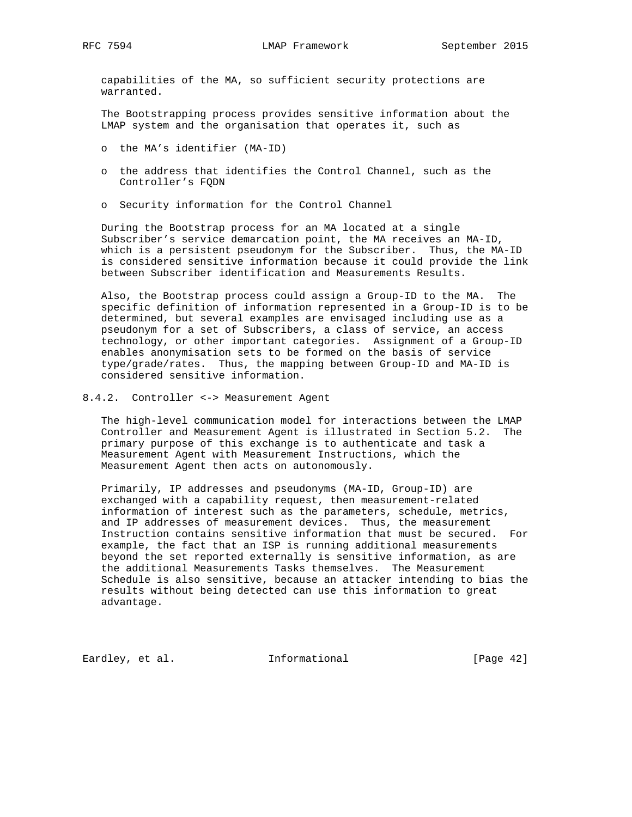capabilities of the MA, so sufficient security protections are warranted.

 The Bootstrapping process provides sensitive information about the LMAP system and the organisation that operates it, such as

- o the MA's identifier (MA-ID)
- o the address that identifies the Control Channel, such as the Controller's FQDN
- o Security information for the Control Channel

 During the Bootstrap process for an MA located at a single Subscriber's service demarcation point, the MA receives an MA-ID, which is a persistent pseudonym for the Subscriber. Thus, the MA-ID is considered sensitive information because it could provide the link between Subscriber identification and Measurements Results.

 Also, the Bootstrap process could assign a Group-ID to the MA. The specific definition of information represented in a Group-ID is to be determined, but several examples are envisaged including use as a pseudonym for a set of Subscribers, a class of service, an access technology, or other important categories. Assignment of a Group-ID enables anonymisation sets to be formed on the basis of service type/grade/rates. Thus, the mapping between Group-ID and MA-ID is considered sensitive information.

8.4.2. Controller <-> Measurement Agent

 The high-level communication model for interactions between the LMAP Controller and Measurement Agent is illustrated in Section 5.2. The primary purpose of this exchange is to authenticate and task a Measurement Agent with Measurement Instructions, which the Measurement Agent then acts on autonomously.

 Primarily, IP addresses and pseudonyms (MA-ID, Group-ID) are exchanged with a capability request, then measurement-related information of interest such as the parameters, schedule, metrics, and IP addresses of measurement devices. Thus, the measurement Instruction contains sensitive information that must be secured. For example, the fact that an ISP is running additional measurements beyond the set reported externally is sensitive information, as are the additional Measurements Tasks themselves. The Measurement Schedule is also sensitive, because an attacker intending to bias the results without being detected can use this information to great advantage.

Eardley, et al. 1nformational [Page 42]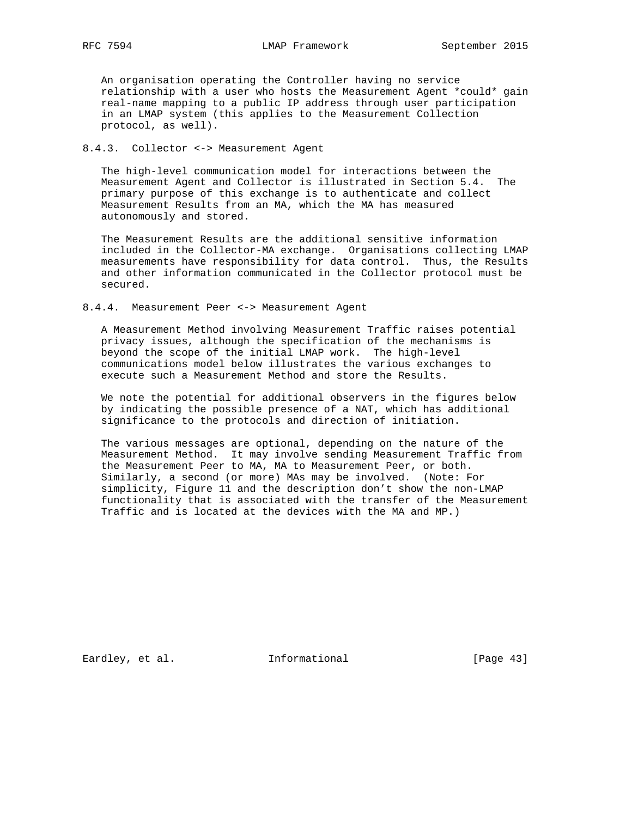An organisation operating the Controller having no service relationship with a user who hosts the Measurement Agent \*could\* gain real-name mapping to a public IP address through user participation in an LMAP system (this applies to the Measurement Collection protocol, as well).

# 8.4.3. Collector <-> Measurement Agent

 The high-level communication model for interactions between the Measurement Agent and Collector is illustrated in Section 5.4. The primary purpose of this exchange is to authenticate and collect Measurement Results from an MA, which the MA has measured autonomously and stored.

 The Measurement Results are the additional sensitive information included in the Collector-MA exchange. Organisations collecting LMAP measurements have responsibility for data control. Thus, the Results and other information communicated in the Collector protocol must be secured.

### 8.4.4. Measurement Peer <-> Measurement Agent

 A Measurement Method involving Measurement Traffic raises potential privacy issues, although the specification of the mechanisms is beyond the scope of the initial LMAP work. The high-level communications model below illustrates the various exchanges to execute such a Measurement Method and store the Results.

 We note the potential for additional observers in the figures below by indicating the possible presence of a NAT, which has additional significance to the protocols and direction of initiation.

 The various messages are optional, depending on the nature of the Measurement Method. It may involve sending Measurement Traffic from the Measurement Peer to MA, MA to Measurement Peer, or both. Similarly, a second (or more) MAs may be involved. (Note: For simplicity, Figure 11 and the description don't show the non-LMAP functionality that is associated with the transfer of the Measurement Traffic and is located at the devices with the MA and MP.)

Eardley, et al. 1nformational [Page 43]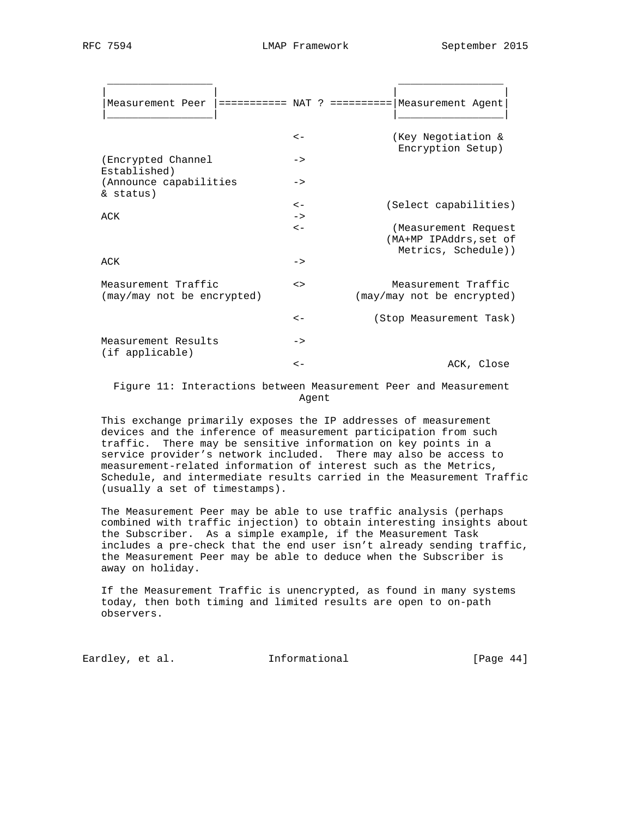| Measurement Peer  =========== NAT ? ========== Measurement Agent |               |                                                                       |
|------------------------------------------------------------------|---------------|-----------------------------------------------------------------------|
|                                                                  | $\lt$ $-$     | (Key Negotiation &<br>Encryption Setup)                               |
| (Encrypted Channel<br>Established)                               | $\rightarrow$ |                                                                       |
| (Announce capabilities<br>& status)                              | $\rightarrow$ |                                                                       |
|                                                                  | $\lt$ $-$     | (Select capabilities)                                                 |
| ACK                                                              | $\rightarrow$ |                                                                       |
|                                                                  | $\lt$ $-$     | (Measurement Request<br>(MA+MP IPAddrs, set of<br>Metrics, Schedule)) |
| ACK                                                              | $\rightarrow$ |                                                                       |
| Measurement Traffic<br>(may/may not be encrypted)                | $\leq$        | Measurement Traffic<br>(may/may not be encrypted)                     |
|                                                                  | $\lt$ $-$     | (Stop Measurement Task)                                               |
| Measurement Results<br>(if applicable)                           | $\rightarrow$ |                                                                       |
|                                                                  | $\lt$ $-$     | ACK, Close                                                            |

 Figure 11: Interactions between Measurement Peer and Measurement Agent

 This exchange primarily exposes the IP addresses of measurement devices and the inference of measurement participation from such traffic. There may be sensitive information on key points in a service provider's network included. There may also be access to measurement-related information of interest such as the Metrics, Schedule, and intermediate results carried in the Measurement Traffic (usually a set of timestamps).

 The Measurement Peer may be able to use traffic analysis (perhaps combined with traffic injection) to obtain interesting insights about the Subscriber. As a simple example, if the Measurement Task includes a pre-check that the end user isn't already sending traffic, the Measurement Peer may be able to deduce when the Subscriber is away on holiday.

 If the Measurement Traffic is unencrypted, as found in many systems today, then both timing and limited results are open to on-path observers.

Eardley, et al. 1nformational [Page 44]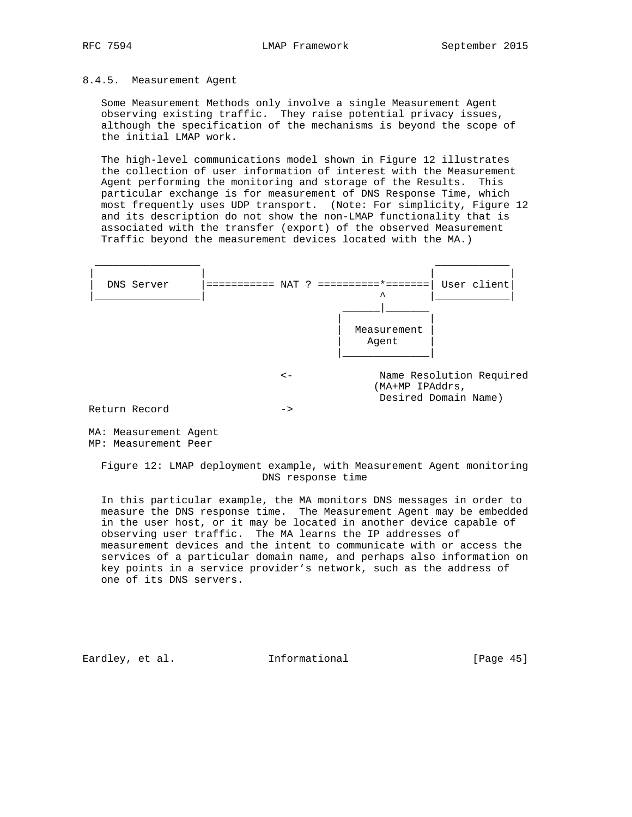# 8.4.5. Measurement Agent

 Some Measurement Methods only involve a single Measurement Agent observing existing traffic. They raise potential privacy issues, although the specification of the mechanisms is beyond the scope of the initial LMAP work.

 The high-level communications model shown in Figure 12 illustrates the collection of user information of interest with the Measurement Agent performing the monitoring and storage of the Results. This particular exchange is for measurement of DNS Response Time, which most frequently uses UDP transport. (Note: For simplicity, Figure 12 and its description do not show the non-LMAP functionality that is associated with the transfer (export) of the observed Measurement Traffic beyond the measurement devices located with the MA.)



Return Record ->

 MA: Measurement Agent MP: Measurement Peer

 Figure 12: LMAP deployment example, with Measurement Agent monitoring DNS response time

 In this particular example, the MA monitors DNS messages in order to measure the DNS response time. The Measurement Agent may be embedded in the user host, or it may be located in another device capable of observing user traffic. The MA learns the IP addresses of measurement devices and the intent to communicate with or access the services of a particular domain name, and perhaps also information on key points in a service provider's network, such as the address of one of its DNS servers.

Eardley, et al. 1nformational [Page 45]

Desired Domain Name)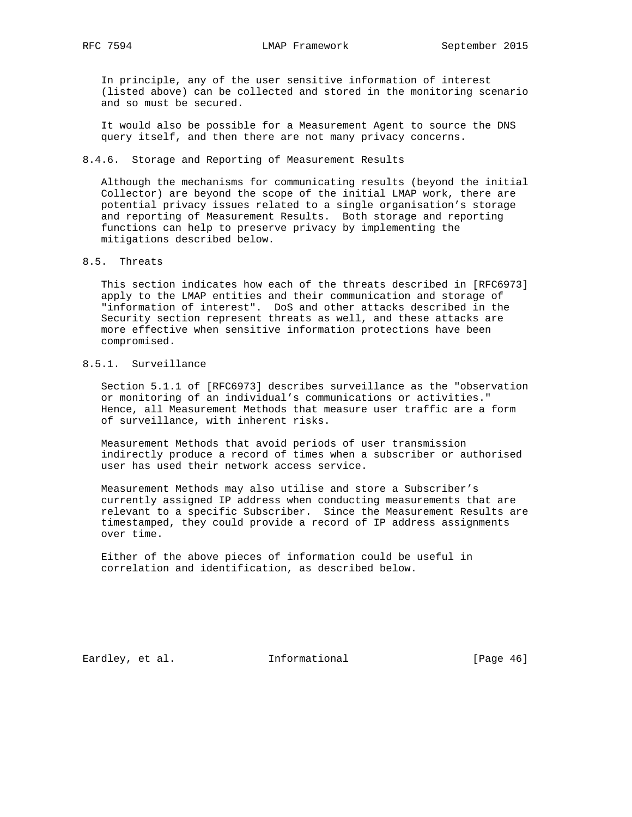In principle, any of the user sensitive information of interest (listed above) can be collected and stored in the monitoring scenario and so must be secured.

 It would also be possible for a Measurement Agent to source the DNS query itself, and then there are not many privacy concerns.

### 8.4.6. Storage and Reporting of Measurement Results

 Although the mechanisms for communicating results (beyond the initial Collector) are beyond the scope of the initial LMAP work, there are potential privacy issues related to a single organisation's storage and reporting of Measurement Results. Both storage and reporting functions can help to preserve privacy by implementing the mitigations described below.

### 8.5. Threats

 This section indicates how each of the threats described in [RFC6973] apply to the LMAP entities and their communication and storage of "information of interest". DoS and other attacks described in the Security section represent threats as well, and these attacks are more effective when sensitive information protections have been compromised.

# 8.5.1. Surveillance

 Section 5.1.1 of [RFC6973] describes surveillance as the "observation or monitoring of an individual's communications or activities." Hence, all Measurement Methods that measure user traffic are a form of surveillance, with inherent risks.

 Measurement Methods that avoid periods of user transmission indirectly produce a record of times when a subscriber or authorised user has used their network access service.

 Measurement Methods may also utilise and store a Subscriber's currently assigned IP address when conducting measurements that are relevant to a specific Subscriber. Since the Measurement Results are timestamped, they could provide a record of IP address assignments over time.

 Either of the above pieces of information could be useful in correlation and identification, as described below.

Eardley, et al. 1nformational [Page 46]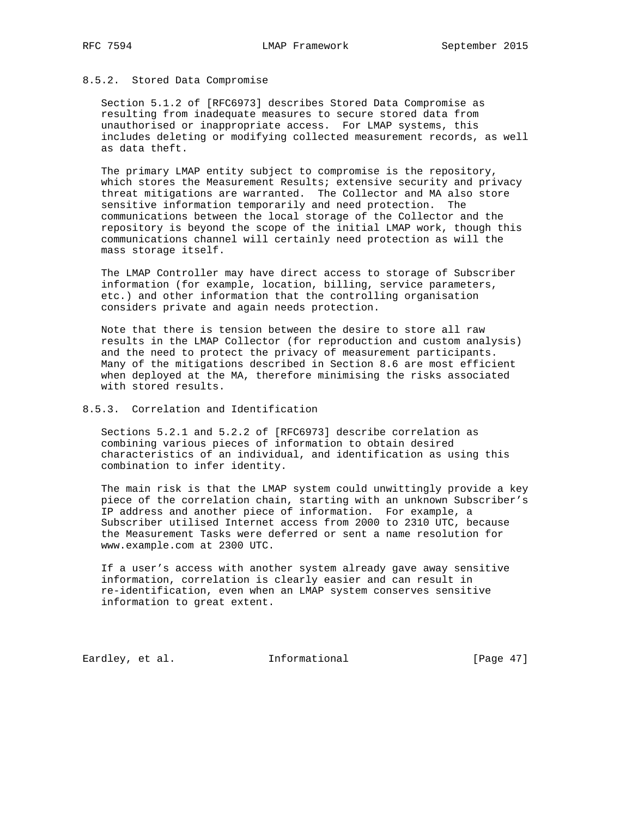### 8.5.2. Stored Data Compromise

 Section 5.1.2 of [RFC6973] describes Stored Data Compromise as resulting from inadequate measures to secure stored data from unauthorised or inappropriate access. For LMAP systems, this includes deleting or modifying collected measurement records, as well as data theft.

 The primary LMAP entity subject to compromise is the repository, which stores the Measurement Results; extensive security and privacy threat mitigations are warranted. The Collector and MA also store sensitive information temporarily and need protection. The communications between the local storage of the Collector and the repository is beyond the scope of the initial LMAP work, though this communications channel will certainly need protection as will the mass storage itself.

 The LMAP Controller may have direct access to storage of Subscriber information (for example, location, billing, service parameters, etc.) and other information that the controlling organisation considers private and again needs protection.

 Note that there is tension between the desire to store all raw results in the LMAP Collector (for reproduction and custom analysis) and the need to protect the privacy of measurement participants. Many of the mitigations described in Section 8.6 are most efficient when deployed at the MA, therefore minimising the risks associated with stored results.

# 8.5.3. Correlation and Identification

 Sections 5.2.1 and 5.2.2 of [RFC6973] describe correlation as combining various pieces of information to obtain desired characteristics of an individual, and identification as using this combination to infer identity.

 The main risk is that the LMAP system could unwittingly provide a key piece of the correlation chain, starting with an unknown Subscriber's IP address and another piece of information. For example, a Subscriber utilised Internet access from 2000 to 2310 UTC, because the Measurement Tasks were deferred or sent a name resolution for www.example.com at 2300 UTC.

 If a user's access with another system already gave away sensitive information, correlation is clearly easier and can result in re-identification, even when an LMAP system conserves sensitive information to great extent.

Eardley, et al. 1nformational [Page 47]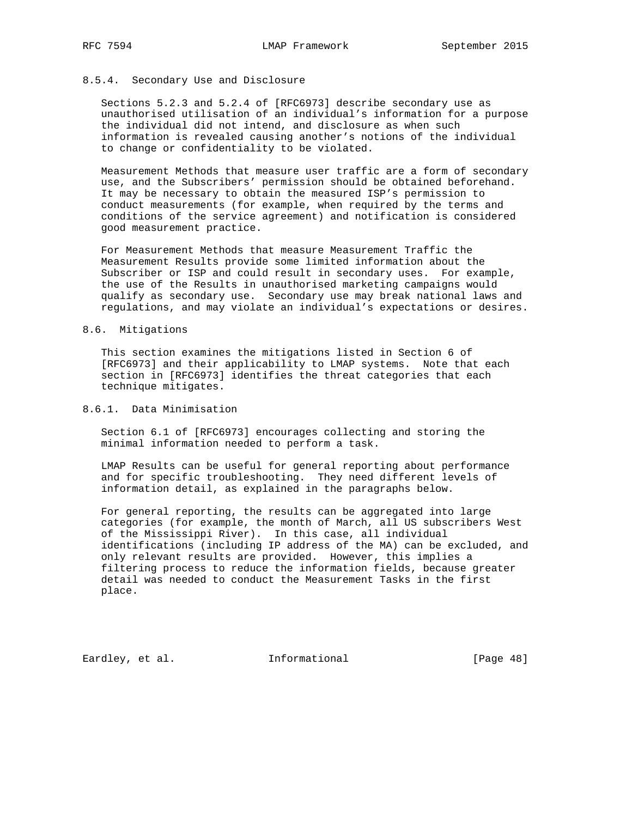### 8.5.4. Secondary Use and Disclosure

 Sections 5.2.3 and 5.2.4 of [RFC6973] describe secondary use as unauthorised utilisation of an individual's information for a purpose the individual did not intend, and disclosure as when such information is revealed causing another's notions of the individual to change or confidentiality to be violated.

 Measurement Methods that measure user traffic are a form of secondary use, and the Subscribers' permission should be obtained beforehand. It may be necessary to obtain the measured ISP's permission to conduct measurements (for example, when required by the terms and conditions of the service agreement) and notification is considered good measurement practice.

 For Measurement Methods that measure Measurement Traffic the Measurement Results provide some limited information about the Subscriber or ISP and could result in secondary uses. For example, the use of the Results in unauthorised marketing campaigns would qualify as secondary use. Secondary use may break national laws and regulations, and may violate an individual's expectations or desires.

### 8.6. Mitigations

 This section examines the mitigations listed in Section 6 of [RFC6973] and their applicability to LMAP systems. Note that each section in [RFC6973] identifies the threat categories that each technique mitigates.

## 8.6.1. Data Minimisation

 Section 6.1 of [RFC6973] encourages collecting and storing the minimal information needed to perform a task.

 LMAP Results can be useful for general reporting about performance and for specific troubleshooting. They need different levels of information detail, as explained in the paragraphs below.

 For general reporting, the results can be aggregated into large categories (for example, the month of March, all US subscribers West of the Mississippi River). In this case, all individual identifications (including IP address of the MA) can be excluded, and only relevant results are provided. However, this implies a filtering process to reduce the information fields, because greater detail was needed to conduct the Measurement Tasks in the first place.

Eardley, et al. 1nformational [Page 48]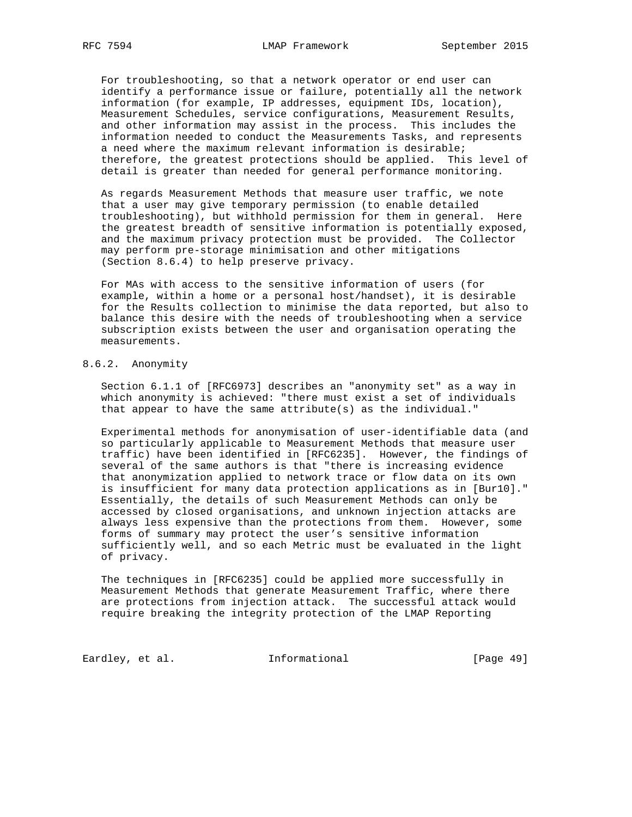For troubleshooting, so that a network operator or end user can identify a performance issue or failure, potentially all the network information (for example, IP addresses, equipment IDs, location), Measurement Schedules, service configurations, Measurement Results, and other information may assist in the process. This includes the information needed to conduct the Measurements Tasks, and represents a need where the maximum relevant information is desirable; therefore, the greatest protections should be applied. This level of detail is greater than needed for general performance monitoring.

 As regards Measurement Methods that measure user traffic, we note that a user may give temporary permission (to enable detailed troubleshooting), but withhold permission for them in general. Here the greatest breadth of sensitive information is potentially exposed, and the maximum privacy protection must be provided. The Collector may perform pre-storage minimisation and other mitigations (Section 8.6.4) to help preserve privacy.

 For MAs with access to the sensitive information of users (for example, within a home or a personal host/handset), it is desirable for the Results collection to minimise the data reported, but also to balance this desire with the needs of troubleshooting when a service subscription exists between the user and organisation operating the measurements.

# 8.6.2. Anonymity

 Section 6.1.1 of [RFC6973] describes an "anonymity set" as a way in which anonymity is achieved: "there must exist a set of individuals that appear to have the same attribute(s) as the individual."

 Experimental methods for anonymisation of user-identifiable data (and so particularly applicable to Measurement Methods that measure user traffic) have been identified in [RFC6235]. However, the findings of several of the same authors is that "there is increasing evidence that anonymization applied to network trace or flow data on its own is insufficient for many data protection applications as in [Bur10]." Essentially, the details of such Measurement Methods can only be accessed by closed organisations, and unknown injection attacks are always less expensive than the protections from them. However, some forms of summary may protect the user's sensitive information sufficiently well, and so each Metric must be evaluated in the light of privacy.

 The techniques in [RFC6235] could be applied more successfully in Measurement Methods that generate Measurement Traffic, where there are protections from injection attack. The successful attack would require breaking the integrity protection of the LMAP Reporting

Eardley, et al. 1nformational [Page 49]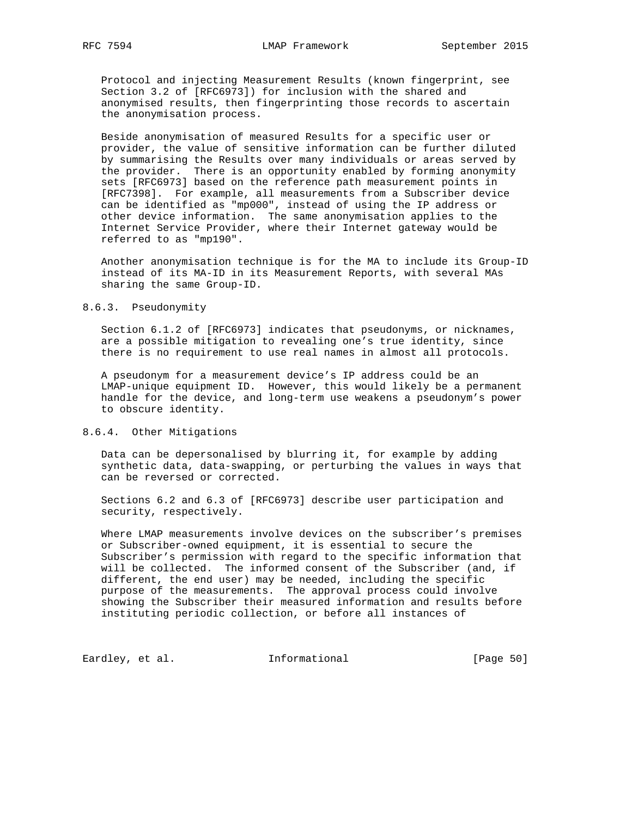Protocol and injecting Measurement Results (known fingerprint, see Section 3.2 of [RFC6973]) for inclusion with the shared and anonymised results, then fingerprinting those records to ascertain the anonymisation process.

 Beside anonymisation of measured Results for a specific user or provider, the value of sensitive information can be further diluted by summarising the Results over many individuals or areas served by the provider. There is an opportunity enabled by forming anonymity sets [RFC6973] based on the reference path measurement points in [RFC7398]. For example, all measurements from a Subscriber device can be identified as "mp000", instead of using the IP address or other device information. The same anonymisation applies to the Internet Service Provider, where their Internet gateway would be referred to as "mp190".

 Another anonymisation technique is for the MA to include its Group-ID instead of its MA-ID in its Measurement Reports, with several MAs sharing the same Group-ID.

### 8.6.3. Pseudonymity

 Section 6.1.2 of [RFC6973] indicates that pseudonyms, or nicknames, are a possible mitigation to revealing one's true identity, since there is no requirement to use real names in almost all protocols.

 A pseudonym for a measurement device's IP address could be an LMAP-unique equipment ID. However, this would likely be a permanent handle for the device, and long-term use weakens a pseudonym's power to obscure identity.

### 8.6.4. Other Mitigations

 Data can be depersonalised by blurring it, for example by adding synthetic data, data-swapping, or perturbing the values in ways that can be reversed or corrected.

 Sections 6.2 and 6.3 of [RFC6973] describe user participation and security, respectively.

 Where LMAP measurements involve devices on the subscriber's premises or Subscriber-owned equipment, it is essential to secure the Subscriber's permission with regard to the specific information that will be collected. The informed consent of the Subscriber (and, if different, the end user) may be needed, including the specific purpose of the measurements. The approval process could involve showing the Subscriber their measured information and results before instituting periodic collection, or before all instances of

Eardley, et al. 1nformational [Page 50]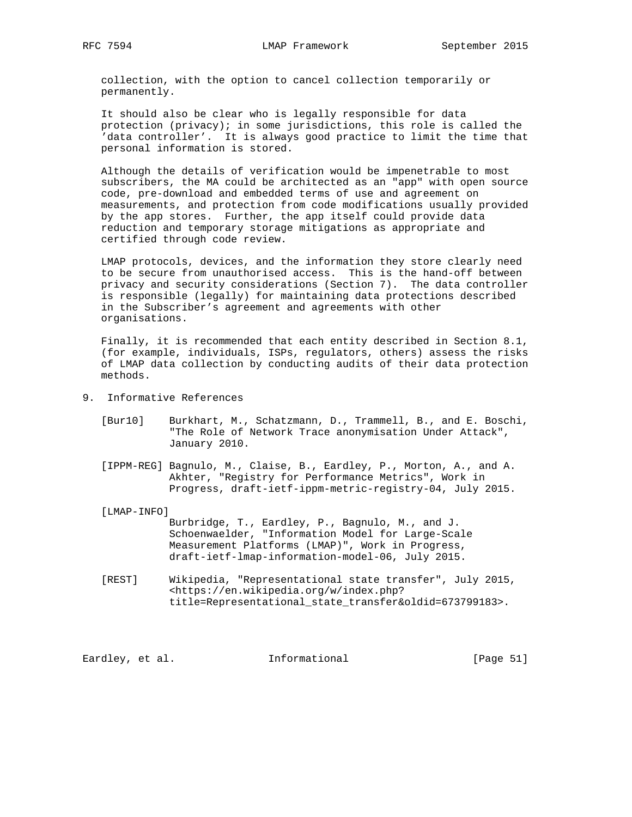collection, with the option to cancel collection temporarily or permanently.

 It should also be clear who is legally responsible for data protection (privacy); in some jurisdictions, this role is called the 'data controller'. It is always good practice to limit the time that personal information is stored.

 Although the details of verification would be impenetrable to most subscribers, the MA could be architected as an "app" with open source code, pre-download and embedded terms of use and agreement on measurements, and protection from code modifications usually provided by the app stores. Further, the app itself could provide data reduction and temporary storage mitigations as appropriate and certified through code review.

 LMAP protocols, devices, and the information they store clearly need to be secure from unauthorised access. This is the hand-off between privacy and security considerations (Section 7). The data controller is responsible (legally) for maintaining data protections described in the Subscriber's agreement and agreements with other organisations.

 Finally, it is recommended that each entity described in Section 8.1, (for example, individuals, ISPs, regulators, others) assess the risks of LMAP data collection by conducting audits of their data protection methods.

- 9. Informative References
	- [Bur10] Burkhart, M., Schatzmann, D., Trammell, B., and E. Boschi, "The Role of Network Trace anonymisation Under Attack", January 2010.
	- [IPPM-REG] Bagnulo, M., Claise, B., Eardley, P., Morton, A., and A. Akhter, "Registry for Performance Metrics", Work in Progress, draft-ietf-ippm-metric-registry-04, July 2015.
	- [LMAP-INFO]

 Burbridge, T., Eardley, P., Bagnulo, M., and J. Schoenwaelder, "Information Model for Large-Scale Measurement Platforms (LMAP)", Work in Progress, draft-ietf-lmap-information-model-06, July 2015.

 [REST] Wikipedia, "Representational state transfer", July 2015, <https://en.wikipedia.org/w/index.php? title=Representational\_state\_transfer&oldid=673799183>.

Eardley, et al. 1nformational [Page 51]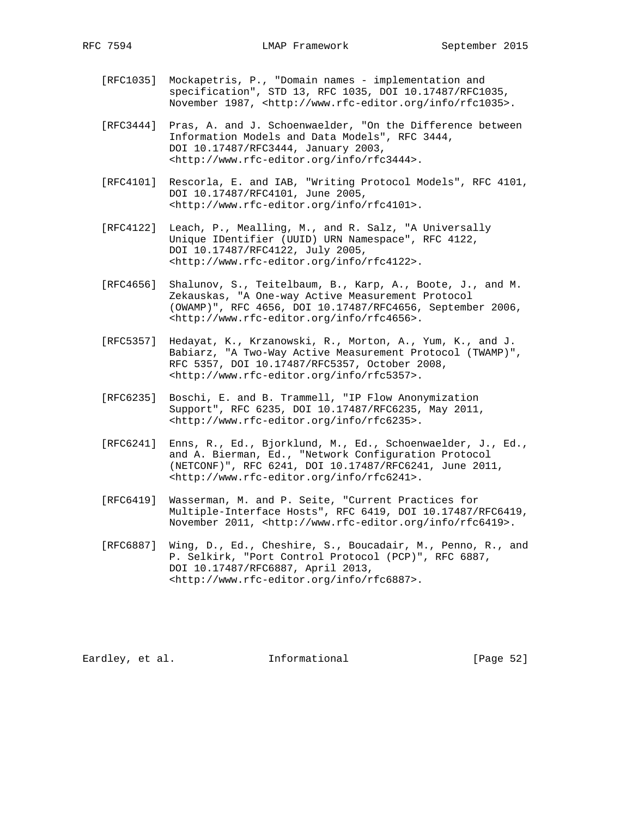- [RFC1035] Mockapetris, P., "Domain names implementation and specification", STD 13, RFC 1035, DOI 10.17487/RFC1035, November 1987, <http://www.rfc-editor.org/info/rfc1035>.
- [RFC3444] Pras, A. and J. Schoenwaelder, "On the Difference between Information Models and Data Models", RFC 3444, DOI 10.17487/RFC3444, January 2003, <http://www.rfc-editor.org/info/rfc3444>.
- [RFC4101] Rescorla, E. and IAB, "Writing Protocol Models", RFC 4101, DOI 10.17487/RFC4101, June 2005, <http://www.rfc-editor.org/info/rfc4101>.
- [RFC4122] Leach, P., Mealling, M., and R. Salz, "A Universally Unique IDentifier (UUID) URN Namespace", RFC 4122, DOI 10.17487/RFC4122, July 2005, <http://www.rfc-editor.org/info/rfc4122>.
- [RFC4656] Shalunov, S., Teitelbaum, B., Karp, A., Boote, J., and M. Zekauskas, "A One-way Active Measurement Protocol (OWAMP)", RFC 4656, DOI 10.17487/RFC4656, September 2006, <http://www.rfc-editor.org/info/rfc4656>.
- [RFC5357] Hedayat, K., Krzanowski, R., Morton, A., Yum, K., and J. Babiarz, "A Two-Way Active Measurement Protocol (TWAMP)", RFC 5357, DOI 10.17487/RFC5357, October 2008, <http://www.rfc-editor.org/info/rfc5357>.
- [RFC6235] Boschi, E. and B. Trammell, "IP Flow Anonymization Support", RFC 6235, DOI 10.17487/RFC6235, May 2011, <http://www.rfc-editor.org/info/rfc6235>.
- [RFC6241] Enns, R., Ed., Bjorklund, M., Ed., Schoenwaelder, J., Ed., and A. Bierman, Ed., "Network Configuration Protocol (NETCONF)", RFC 6241, DOI 10.17487/RFC6241, June 2011, <http://www.rfc-editor.org/info/rfc6241>.
- [RFC6419] Wasserman, M. and P. Seite, "Current Practices for Multiple-Interface Hosts", RFC 6419, DOI 10.17487/RFC6419, November 2011, <http://www.rfc-editor.org/info/rfc6419>.
- [RFC6887] Wing, D., Ed., Cheshire, S., Boucadair, M., Penno, R., and P. Selkirk, "Port Control Protocol (PCP)", RFC 6887, DOI 10.17487/RFC6887, April 2013, <http://www.rfc-editor.org/info/rfc6887>.

Eardley, et al. 1nformational [Page 52]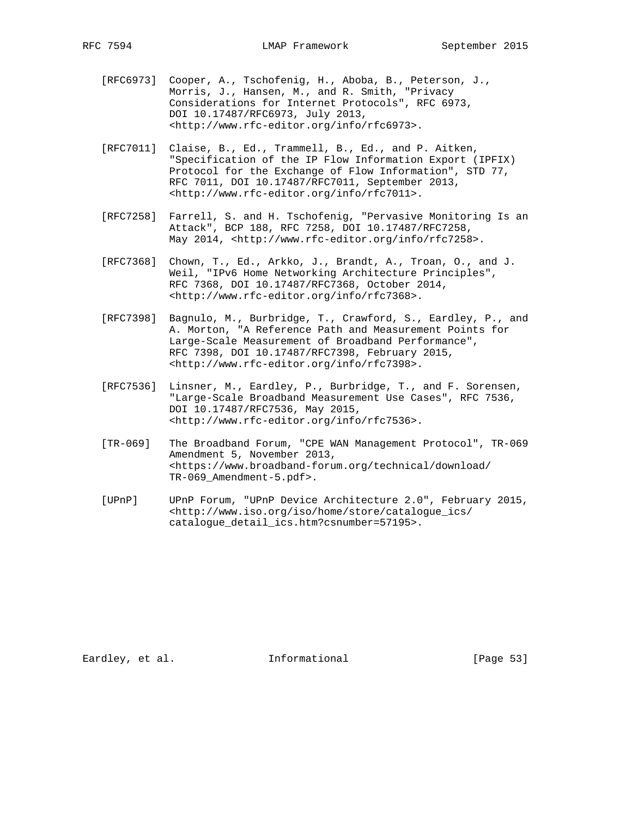- [RFC6973] Cooper, A., Tschofenig, H., Aboba, B., Peterson, J., Morris, J., Hansen, M., and R. Smith, "Privacy Considerations for Internet Protocols", RFC 6973, DOI 10.17487/RFC6973, July 2013, <http://www.rfc-editor.org/info/rfc6973>.
- [RFC7011] Claise, B., Ed., Trammell, B., Ed., and P. Aitken, "Specification of the IP Flow Information Export (IPFIX) Protocol for the Exchange of Flow Information", STD 77, RFC 7011, DOI 10.17487/RFC7011, September 2013, <http://www.rfc-editor.org/info/rfc7011>.
- [RFC7258] Farrell, S. and H. Tschofenig, "Pervasive Monitoring Is an Attack", BCP 188, RFC 7258, DOI 10.17487/RFC7258, May 2014, <http://www.rfc-editor.org/info/rfc7258>.
- [RFC7368] Chown, T., Ed., Arkko, J., Brandt, A., Troan, O., and J. Weil, "IPv6 Home Networking Architecture Principles", RFC 7368, DOI 10.17487/RFC7368, October 2014, <http://www.rfc-editor.org/info/rfc7368>.
- [RFC7398] Bagnulo, M., Burbridge, T., Crawford, S., Eardley, P., and A. Morton, "A Reference Path and Measurement Points for Large-Scale Measurement of Broadband Performance", RFC 7398, DOI 10.17487/RFC7398, February 2015, <http://www.rfc-editor.org/info/rfc7398>.
- [RFC7536] Linsner, M., Eardley, P., Burbridge, T., and F. Sorensen, "Large-Scale Broadband Measurement Use Cases", RFC 7536, DOI 10.17487/RFC7536, May 2015, <http://www.rfc-editor.org/info/rfc7536>.
- [TR-069] The Broadband Forum, "CPE WAN Management Protocol", TR-069 Amendment 5, November 2013, <https://www.broadband-forum.org/technical/download/ TR-069\_Amendment-5.pdf>.
- [UPnP] UPnP Forum, "UPnP Device Architecture 2.0", February 2015, <http://www.iso.org/iso/home/store/catalogue\_ics/ cataloque detail ics.htm?csnumber=57195>.

Eardley, et al. 1nformational [Page 53]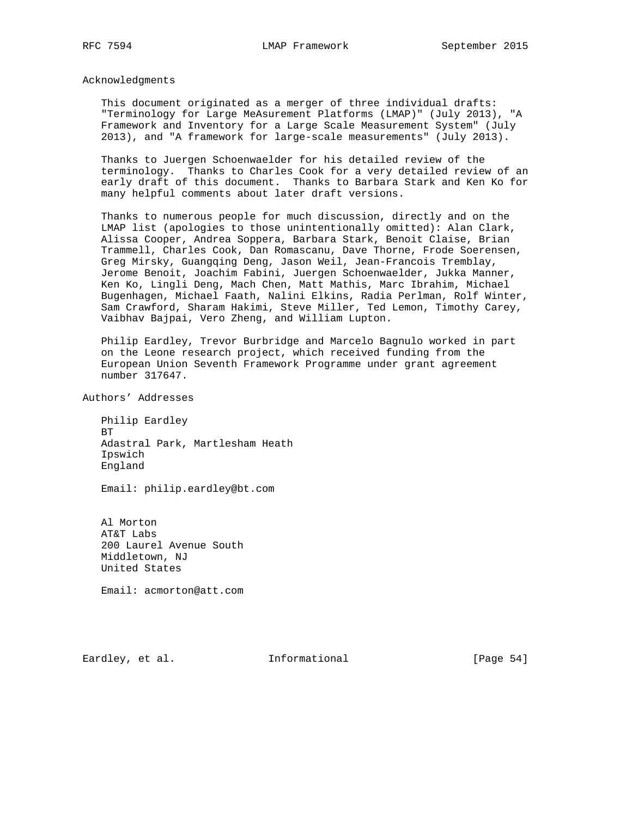Acknowledgments

 This document originated as a merger of three individual drafts: "Terminology for Large MeAsurement Platforms (LMAP)" (July 2013), "A Framework and Inventory for a Large Scale Measurement System" (July 2013), and "A framework for large-scale measurements" (July 2013).

 Thanks to Juergen Schoenwaelder for his detailed review of the terminology. Thanks to Charles Cook for a very detailed review of an early draft of this document. Thanks to Barbara Stark and Ken Ko for many helpful comments about later draft versions.

 Thanks to numerous people for much discussion, directly and on the LMAP list (apologies to those unintentionally omitted): Alan Clark, Alissa Cooper, Andrea Soppera, Barbara Stark, Benoit Claise, Brian Trammell, Charles Cook, Dan Romascanu, Dave Thorne, Frode Soerensen, Greg Mirsky, Guangqing Deng, Jason Weil, Jean-Francois Tremblay, Jerome Benoit, Joachim Fabini, Juergen Schoenwaelder, Jukka Manner, Ken Ko, Lingli Deng, Mach Chen, Matt Mathis, Marc Ibrahim, Michael Bugenhagen, Michael Faath, Nalini Elkins, Radia Perlman, Rolf Winter, Sam Crawford, Sharam Hakimi, Steve Miller, Ted Lemon, Timothy Carey, Vaibhav Bajpai, Vero Zheng, and William Lupton.

 Philip Eardley, Trevor Burbridge and Marcelo Bagnulo worked in part on the Leone research project, which received funding from the European Union Seventh Framework Programme under grant agreement number 317647.

Authors' Addresses

 Philip Eardley BT Adastral Park, Martlesham Heath Ipswich England

Email: philip.eardley@bt.com

 Al Morton AT&T Labs 200 Laurel Avenue South Middletown, NJ United States

Email: acmorton@att.com

Eardley, et al. 1nformational [Page 54]